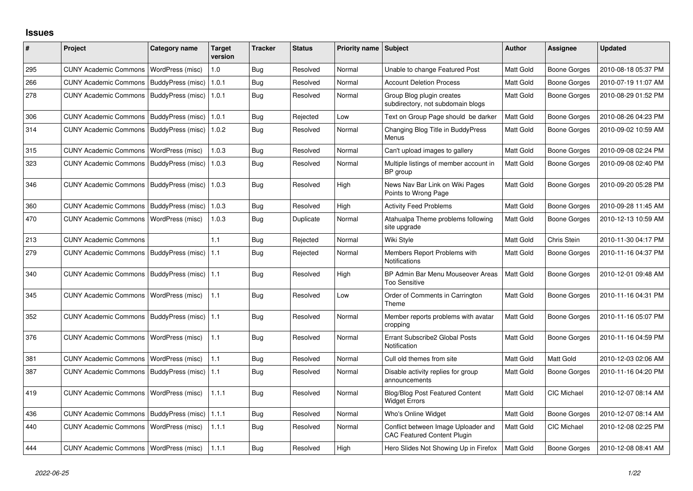## **Issues**

| #   | Project                                  | Category name     | <b>Target</b><br>version | <b>Tracker</b> | <b>Status</b> | <b>Priority name</b> | <b>Subject</b>                                                            | <b>Author</b>    | Assignee            | <b>Updated</b>      |
|-----|------------------------------------------|-------------------|--------------------------|----------------|---------------|----------------------|---------------------------------------------------------------------------|------------------|---------------------|---------------------|
| 295 | <b>CUNY Academic Commons</b>             | WordPress (misc)  | 1.0                      | Bug            | Resolved      | Normal               | Unable to change Featured Post                                            | Matt Gold        | <b>Boone Gorges</b> | 2010-08-18 05:37 PM |
| 266 | <b>CUNY Academic Commons</b>             | BuddyPress (misc) | 1.0.1                    | Bug            | Resolved      | Normal               | <b>Account Deletion Process</b>                                           | Matt Gold        | Boone Gorges        | 2010-07-19 11:07 AM |
| 278 | <b>CUNY Academic Commons</b>             | BuddyPress (misc) | 1.0.1                    | Bug            | Resolved      | Normal               | Group Blog plugin creates<br>subdirectory, not subdomain blogs            | Matt Gold        | Boone Gorges        | 2010-08-29 01:52 PM |
| 306 | <b>CUNY Academic Commons</b>             | BuddyPress (misc) | 1.0.1                    | Bug            | Rejected      | Low                  | Text on Group Page should be darker                                       | <b>Matt Gold</b> | <b>Boone Gorges</b> | 2010-08-26 04:23 PM |
| 314 | <b>CUNY Academic Commons</b>             | BuddyPress (misc) | 1.0.2                    | Bug            | Resolved      | Normal               | Changing Blog Title in BuddyPress<br>Menus                                | Matt Gold        | Boone Gorges        | 2010-09-02 10:59 AM |
| 315 | <b>CUNY Academic Commons</b>             | WordPress (misc)  | 1.0.3                    | Bug            | Resolved      | Normal               | Can't upload images to gallery                                            | Matt Gold        | Boone Gorges        | 2010-09-08 02:24 PM |
| 323 | <b>CUNY Academic Commons</b>             | BuddyPress (misc) | 1.0.3                    | <b>Bug</b>     | Resolved      | Normal               | Multiple listings of member account in<br>BP group                        | Matt Gold        | Boone Gorges        | 2010-09-08 02:40 PM |
| 346 | <b>CUNY Academic Commons</b>             | BuddyPress (misc) | 1.0.3                    | <b>Bug</b>     | Resolved      | High                 | News Nav Bar Link on Wiki Pages<br>Points to Wrong Page                   | Matt Gold        | Boone Gorges        | 2010-09-20 05:28 PM |
| 360 | <b>CUNY Academic Commons</b>             | BuddyPress (misc) | 1.0.3                    | Bug            | Resolved      | High                 | <b>Activity Feed Problems</b>                                             | Matt Gold        | Boone Gorges        | 2010-09-28 11:45 AM |
| 470 | <b>CUNY Academic Commons</b>             | WordPress (misc)  | 1.0.3                    | <b>Bug</b>     | Duplicate     | Normal               | Atahualpa Theme problems following<br>site upgrade                        | Matt Gold        | Boone Gorges        | 2010-12-13 10:59 AM |
| 213 | <b>CUNY Academic Commons</b>             |                   | 1.1                      | Bug            | Rejected      | Normal               | Wiki Style                                                                | Matt Gold        | Chris Stein         | 2010-11-30 04:17 PM |
| 279 | <b>CUNY Academic Commons</b>             | BuddyPress (misc) | 1.1                      | <b>Bug</b>     | Rejected      | Normal               | Members Report Problems with<br>Notifications                             | Matt Gold        | Boone Gorges        | 2010-11-16 04:37 PM |
| 340 | <b>CUNY Academic Commons</b>             | BuddyPress (misc) | 1.1                      | <b>Bug</b>     | Resolved      | High                 | BP Admin Bar Menu Mouseover Areas<br><b>Too Sensitive</b>                 | Matt Gold        | Boone Gorges        | 2010-12-01 09:48 AM |
| 345 | <b>CUNY Academic Commons</b>             | WordPress (misc)  | 1.1                      | Bug            | Resolved      | Low                  | Order of Comments in Carrington<br>Theme                                  | Matt Gold        | Boone Gorges        | 2010-11-16 04:31 PM |
| 352 | <b>CUNY Academic Commons</b>             | BuddyPress (misc) | 1.1                      | Bug            | Resolved      | Normal               | Member reports problems with avatar<br>cropping                           | Matt Gold        | Boone Gorges        | 2010-11-16 05:07 PM |
| 376 | <b>CUNY Academic Commons</b>             | WordPress (misc)  | $1.1$                    | Bug            | Resolved      | Normal               | Errant Subscribe2 Global Posts<br>Notification                            | Matt Gold        | Boone Gorges        | 2010-11-16 04:59 PM |
| 381 | <b>CUNY Academic Commons</b>             | WordPress (misc)  | 1.1                      | Bug            | Resolved      | Normal               | Cull old themes from site                                                 | <b>Matt Gold</b> | Matt Gold           | 2010-12-03 02:06 AM |
| 387 | <b>CUNY Academic Commons</b>             | BuddyPress (misc) | 1.1                      | Bug            | Resolved      | Normal               | Disable activity replies for group<br>announcements                       | Matt Gold        | Boone Gorges        | 2010-11-16 04:20 PM |
| 419 | <b>CUNY Academic Commons</b>             | WordPress (misc)  | 1.1.1                    | Bug            | Resolved      | Normal               | <b>Blog/Blog Post Featured Content</b><br><b>Widget Errors</b>            | Matt Gold        | <b>CIC Michael</b>  | 2010-12-07 08:14 AM |
| 436 | <b>CUNY Academic Commons</b>             | BuddyPress (misc) | 1.1.1                    | Bug            | Resolved      | Normal               | Who's Online Widget                                                       | Matt Gold        | Boone Gorges        | 2010-12-07 08:14 AM |
| 440 | <b>CUNY Academic Commons</b>             | WordPress (misc)  | 1.1.1                    | Bug            | Resolved      | Normal               | Conflict between Image Uploader and<br><b>CAC Featured Content Plugin</b> | Matt Gold        | <b>CIC Michael</b>  | 2010-12-08 02:25 PM |
| 444 | CUNY Academic Commons   WordPress (misc) |                   | 1.1.1                    | <b>Bug</b>     | Resolved      | High                 | Hero Slides Not Showing Up in Firefox                                     | Matt Gold        | <b>Boone Gorges</b> | 2010-12-08 08:41 AM |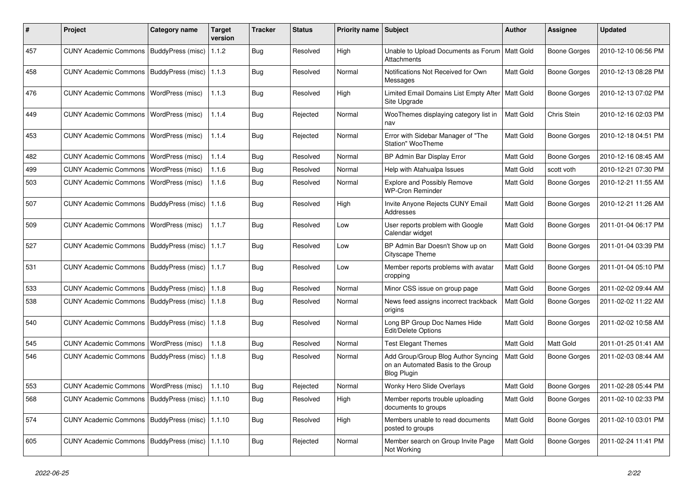| #   | <b>Project</b>                            | Category name            | <b>Target</b><br>version | <b>Tracker</b> | <b>Status</b> | <b>Priority name</b> | <b>Subject</b>                                                                                  | <b>Author</b>    | Assignee            | <b>Updated</b>      |
|-----|-------------------------------------------|--------------------------|--------------------------|----------------|---------------|----------------------|-------------------------------------------------------------------------------------------------|------------------|---------------------|---------------------|
| 457 | <b>CUNY Academic Commons</b>              | <b>BuddyPress (misc)</b> | 1.1.2                    | Bug            | Resolved      | High                 | Unable to Upload Documents as Forum   Matt Gold<br>Attachments                                  |                  | Boone Gorges        | 2010-12-10 06:56 PM |
| 458 | <b>CUNY Academic Commons</b>              | BuddyPress (misc)        | 1.1.3                    | Bug            | Resolved      | Normal               | Notifications Not Received for Own<br>Messages                                                  | <b>Matt Gold</b> | Boone Gorges        | 2010-12-13 08:28 PM |
| 476 | <b>CUNY Academic Commons</b>              | WordPress (misc)         | 1.1.3                    | Bug            | Resolved      | High                 | Limited Email Domains List Empty After<br>Site Upgrade                                          | <b>Matt Gold</b> | Boone Gorges        | 2010-12-13 07:02 PM |
| 449 | <b>CUNY Academic Commons</b>              | WordPress (misc)         | 1.1.4                    | Bug            | Rejected      | Normal               | WooThemes displaying category list in<br>nav                                                    | <b>Matt Gold</b> | Chris Stein         | 2010-12-16 02:03 PM |
| 453 | <b>CUNY Academic Commons</b>              | WordPress (misc)         | 1.1.4                    | Bug            | Rejected      | Normal               | Error with Sidebar Manager of "The<br>Station" WooTheme                                         | Matt Gold        | Boone Gorges        | 2010-12-18 04:51 PM |
| 482 | <b>CUNY Academic Commons</b>              | WordPress (misc)         | 1.1.4                    | Bug            | Resolved      | Normal               | BP Admin Bar Display Error                                                                      | <b>Matt Gold</b> | Boone Gorges        | 2010-12-16 08:45 AM |
| 499 | <b>CUNY Academic Commons</b>              | WordPress (misc)         | 1.1.6                    | Bug            | Resolved      | Normal               | Help with Atahualpa Issues                                                                      | Matt Gold        | scott voth          | 2010-12-21 07:30 PM |
| 503 | <b>CUNY Academic Commons</b>              | WordPress (misc)         | 1.1.6                    | Bug            | Resolved      | Normal               | <b>Explore and Possibly Remove</b><br><b>WP-Cron Reminder</b>                                   | Matt Gold        | Boone Gorges        | 2010-12-21 11:55 AM |
| 507 | <b>CUNY Academic Commons</b>              | BuddyPress (misc)        | 1.1.6                    | <b>Bug</b>     | Resolved      | High                 | Invite Anyone Rejects CUNY Email<br>Addresses                                                   | <b>Matt Gold</b> | <b>Boone Gorges</b> | 2010-12-21 11:26 AM |
| 509 | <b>CUNY Academic Commons</b>              | WordPress (misc)         | 1.1.7                    | Bug            | Resolved      | Low                  | User reports problem with Google<br>Calendar widget                                             | <b>Matt Gold</b> | Boone Gorges        | 2011-01-04 06:17 PM |
| 527 | <b>CUNY Academic Commons</b>              | BuddyPress (misc)        | 1.1.7                    | Bug            | Resolved      | Low                  | BP Admin Bar Doesn't Show up on<br>Cityscape Theme                                              | Matt Gold        | Boone Gorges        | 2011-01-04 03:39 PM |
| 531 | <b>CUNY Academic Commons</b>              | BuddyPress (misc)        | 1.1.7                    | Bug            | Resolved      | Low                  | Member reports problems with avatar<br>cropping                                                 | <b>Matt Gold</b> | Boone Gorges        | 2011-01-04 05:10 PM |
| 533 | <b>CUNY Academic Commons</b>              | BuddyPress (misc)        | 1.1.8                    | <b>Bug</b>     | Resolved      | Normal               | Minor CSS issue on group page                                                                   | <b>Matt Gold</b> | Boone Gorges        | 2011-02-02 09:44 AM |
| 538 | <b>CUNY Academic Commons</b>              | BuddyPress (misc)        | 1.1.8                    | <b>Bug</b>     | Resolved      | Normal               | News feed assigns incorrect trackback<br>origins                                                | <b>Matt Gold</b> | Boone Gorges        | 2011-02-02 11:22 AM |
| 540 | <b>CUNY Academic Commons</b>              | BuddyPress (misc)        | 1.1.8                    | Bug            | Resolved      | Normal               | Long BP Group Doc Names Hide<br>Edit/Delete Options                                             | <b>Matt Gold</b> | Boone Gorges        | 2011-02-02 10:58 AM |
| 545 | <b>CUNY Academic Commons</b>              | WordPress (misc)         | 1.1.8                    | Bug            | Resolved      | Normal               | <b>Test Elegant Themes</b>                                                                      | <b>Matt Gold</b> | Matt Gold           | 2011-01-25 01:41 AM |
| 546 | <b>CUNY Academic Commons</b>              | BuddyPress (misc)        | 1.1.8                    | Bug            | Resolved      | Normal               | Add Group/Group Blog Author Syncing<br>on an Automated Basis to the Group<br><b>Blog Plugin</b> | Matt Gold        | Boone Gorges        | 2011-02-03 08:44 AM |
| 553 | <b>CUNY Academic Commons</b>              | WordPress (misc)         | 1.1.10                   | <b>Bug</b>     | Rejected      | Normal               | <b>Wonky Hero Slide Overlays</b>                                                                | <b>Matt Gold</b> | Boone Gorges        | 2011-02-28 05:44 PM |
| 568 | <b>CUNY Academic Commons</b>              | BuddyPress (misc)        | 1.1.10                   | Bug            | Resolved      | High                 | Member reports trouble uploading<br>documents to groups                                         | Matt Gold        | Boone Gorges        | 2011-02-10 02:33 PM |
| 574 | CUNY Academic Commons   BuddyPress (misc) |                          | 1.1.10                   | Bug            | Resolved      | High                 | Members unable to read documents<br>posted to groups                                            | <b>Matt Gold</b> | Boone Gorges        | 2011-02-10 03:01 PM |
| 605 | CUNY Academic Commons   BuddyPress (misc) |                          | 1.1.10                   | Bug            | Rejected      | Normal               | Member search on Group Invite Page<br>Not Working                                               | Matt Gold        | Boone Gorges        | 2011-02-24 11:41 PM |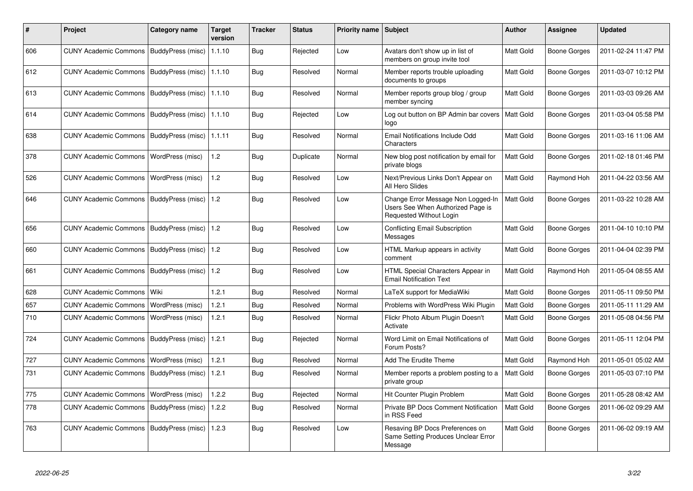| $\#$ | <b>Project</b>                            | Category name            | <b>Target</b><br>version | <b>Tracker</b> | <b>Status</b> | Priority name Subject |                                                                                                    | <b>Author</b>    | <b>Assignee</b> | <b>Updated</b>      |
|------|-------------------------------------------|--------------------------|--------------------------|----------------|---------------|-----------------------|----------------------------------------------------------------------------------------------------|------------------|-----------------|---------------------|
| 606  | CUNY Academic Commons   BuddyPress (misc) |                          | 1.1.10                   | Bug            | Rejected      | Low                   | Avatars don't show up in list of<br>members on group invite tool                                   | <b>Matt Gold</b> | Boone Gorges    | 2011-02-24 11:47 PM |
| 612  | <b>CUNY Academic Commons</b>              | BuddyPress (misc)        | 1.1.10                   | Bug            | Resolved      | Normal                | Member reports trouble uploading<br>documents to groups                                            | <b>Matt Gold</b> | Boone Gorges    | 2011-03-07 10:12 PM |
| 613  | <b>CUNY Academic Commons</b>              | BuddyPress (misc)        | 1.1.10                   | Bug            | Resolved      | Normal                | Member reports group blog / group<br>member syncing                                                | <b>Matt Gold</b> | Boone Gorges    | 2011-03-03 09:26 AM |
| 614  | <b>CUNY Academic Commons</b>              | BuddyPress (misc)        | 1.1.10                   | Bug            | Rejected      | Low                   | Log out button on BP Admin bar covers<br>logo                                                      | Matt Gold        | Boone Gorges    | 2011-03-04 05:58 PM |
| 638  | CUNY Academic Commons   BuddyPress (misc) |                          | 1.1.11                   | <b>Bug</b>     | Resolved      | Normal                | Email Notifications Include Odd<br>Characters                                                      | Matt Gold        | Boone Gorges    | 2011-03-16 11:06 AM |
| 378  | <b>CUNY Academic Commons</b>              | WordPress (misc)         | 1.2                      | Bug            | Duplicate     | Normal                | New blog post notification by email for<br>private blogs                                           | Matt Gold        | Boone Gorges    | 2011-02-18 01:46 PM |
| 526  | <b>CUNY Academic Commons</b>              | WordPress (misc)         | 1.2                      | Bug            | Resolved      | Low                   | Next/Previous Links Don't Appear on<br>All Hero Slides                                             | Matt Gold        | Raymond Hoh     | 2011-04-22 03:56 AM |
| 646  | <b>CUNY Academic Commons</b>              | <b>BuddyPress (misc)</b> | 1.2                      | <b>Bug</b>     | Resolved      | Low                   | Change Error Message Non Logged-In<br>Users See When Authorized Page is<br>Requested Without Login | Matt Gold        | Boone Gorges    | 2011-03-22 10:28 AM |
| 656  | CUNY Academic Commons   BuddyPress (misc) |                          | 1.2                      | Bug            | Resolved      | Low                   | <b>Conflicting Email Subscription</b><br>Messages                                                  | <b>Matt Gold</b> | Boone Gorges    | 2011-04-10 10:10 PM |
| 660  | CUNY Academic Commons   BuddyPress (misc) |                          | 1.2                      | Bug            | Resolved      | Low                   | HTML Markup appears in activity<br>comment                                                         | <b>Matt Gold</b> | Boone Gorges    | 2011-04-04 02:39 PM |
| 661  | <b>CUNY Academic Commons</b>              | BuddyPress (misc)        | 1.2                      | <b>Bug</b>     | Resolved      | Low                   | HTML Special Characters Appear in<br><b>Email Notification Text</b>                                | Matt Gold        | Raymond Hoh     | 2011-05-04 08:55 AM |
| 628  | <b>CUNY Academic Commons</b>              | Wiki                     | 1.2.1                    | <b>Bug</b>     | Resolved      | Normal                | LaTeX support for MediaWiki                                                                        | Matt Gold        | Boone Gorges    | 2011-05-11 09:50 PM |
| 657  | <b>CUNY Academic Commons</b>              | WordPress (misc)         | 1.2.1                    | <b>Bug</b>     | Resolved      | Normal                | Problems with WordPress Wiki Plugin                                                                | <b>Matt Gold</b> | Boone Gorges    | 2011-05-11 11:29 AM |
| 710  | <b>CUNY Academic Commons</b>              | WordPress (misc)         | 1.2.1                    | Bug            | Resolved      | Normal                | Flickr Photo Album Plugin Doesn't<br>Activate                                                      | <b>Matt Gold</b> | Boone Gorges    | 2011-05-08 04:56 PM |
| 724  | <b>CUNY Academic Commons</b>              | BuddyPress (misc)        | 1.2.1                    | Bug            | Rejected      | Normal                | Word Limit on Email Notifications of<br>Forum Posts?                                               | Matt Gold        | Boone Gorges    | 2011-05-11 12:04 PM |
| 727  | <b>CUNY Academic Commons</b>              | WordPress (misc)         | 1.2.1                    | <b>Bug</b>     | Resolved      | Normal                | Add The Erudite Theme                                                                              | <b>Matt Gold</b> | Raymond Hoh     | 2011-05-01 05:02 AM |
| 731  | <b>CUNY Academic Commons</b>              | BuddyPress (misc)        | 1.2.1                    | Bug            | Resolved      | Normal                | Member reports a problem posting to a<br>private group                                             | Matt Gold        | Boone Gorges    | 2011-05-03 07:10 PM |
| 775  | <b>CUNY Academic Commons</b>              | WordPress (misc)         | 1.2.2                    | Bug            | Rejected      | Normal                | Hit Counter Plugin Problem                                                                         | <b>Matt Gold</b> | Boone Gorges    | 2011-05-28 08:42 AM |
| 778  | <b>CUNY Academic Commons</b>              | BuddyPress (misc)        | 1.2.2                    | Bug            | Resolved      | Normal                | Private BP Docs Comment Notification<br>in RSS Feed                                                | Matt Gold        | Boone Gorges    | 2011-06-02 09:29 AM |
| 763  | CUNY Academic Commons   BuddyPress (misc) |                          | 1.2.3                    | Bug            | Resolved      | Low                   | Resaving BP Docs Preferences on<br>Same Setting Produces Unclear Error<br>Message                  | Matt Gold        | Boone Gorges    | 2011-06-02 09:19 AM |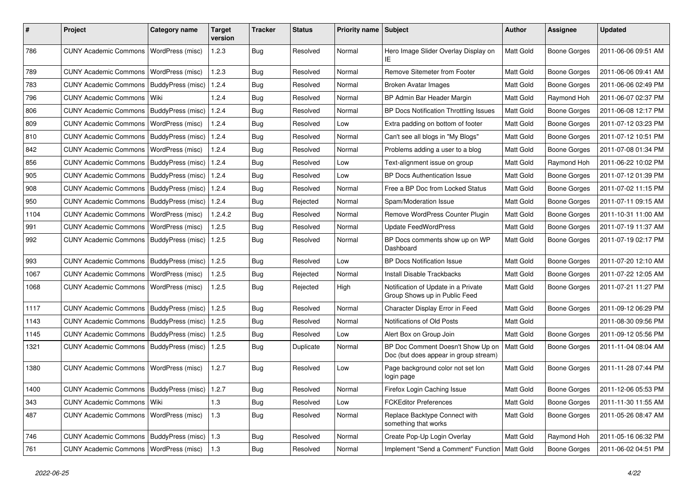| #    | Project                                           | <b>Category name</b>    | Target<br>version | <b>Tracker</b> | <b>Status</b> | <b>Priority name</b> | Subject                                                                    | <b>Author</b>    | <b>Assignee</b>     | <b>Updated</b>      |
|------|---------------------------------------------------|-------------------------|-------------------|----------------|---------------|----------------------|----------------------------------------------------------------------------|------------------|---------------------|---------------------|
| 786  | <b>CUNY Academic Commons</b>                      | WordPress (misc)        | 1.2.3             | Bug            | Resolved      | Normal               | Hero Image Slider Overlay Display on<br>IE.                                | <b>Matt Gold</b> | Boone Gorges        | 2011-06-06 09:51 AM |
| 789  | <b>CUNY Academic Commons</b>                      | <b>WordPress (misc)</b> | 1.2.3             | Bug            | Resolved      | Normal               | Remove Sitemeter from Footer                                               | <b>Matt Gold</b> | Boone Gorges        | 2011-06-06 09:41 AM |
| 783  | <b>CUNY Academic Commons</b>                      | BuddyPress (misc)       | 1.2.4             | Bug            | Resolved      | Normal               | <b>Broken Avatar Images</b>                                                | Matt Gold        | Boone Gorges        | 2011-06-06 02:49 PM |
| 796  | <b>CUNY Academic Commons</b>                      | Wiki                    | 1.2.4             | Bug            | Resolved      | Normal               | BP Admin Bar Header Margin                                                 | Matt Gold        | Raymond Hoh         | 2011-06-07 02:37 PM |
| 806  | CUNY Academic Commons   BuddyPress (misc)         |                         | 1.2.4             | Bug            | Resolved      | Normal               | BP Docs Notification Throttling Issues                                     | Matt Gold        | Boone Gorges        | 2011-06-08 12:17 PM |
| 809  | <b>CUNY Academic Commons</b>                      | WordPress (misc)        | 1.2.4             | Bug            | Resolved      | Low                  | Extra padding on bottom of footer                                          | Matt Gold        | Boone Gorges        | 2011-07-12 03:23 PM |
| 810  | CUNY Academic Commons   BuddyPress (misc)         |                         | 1.2.4             | Bug            | Resolved      | Normal               | Can't see all blogs in "My Blogs"                                          | <b>Matt Gold</b> | Boone Gorges        | 2011-07-12 10:51 PM |
| 842  | <b>CUNY Academic Commons</b>                      | WordPress (misc)        | 1.2.4             | Bug            | Resolved      | Normal               | Problems adding a user to a blog                                           | Matt Gold        | Boone Gorges        | 2011-07-08 01:34 PM |
| 856  | CUNY Academic Commons   BuddyPress (misc)         |                         | 1.2.4             | Bug            | Resolved      | Low                  | Text-alignment issue on group                                              | Matt Gold        | Raymond Hoh         | 2011-06-22 10:02 PM |
| 905  | CUNY Academic Commons   BuddyPress (misc)         |                         | 1.2.4             | Bug            | Resolved      | Low                  | <b>BP Docs Authentication Issue</b>                                        | Matt Gold        | Boone Gorges        | 2011-07-12 01:39 PM |
| 908  | CUNY Academic Commons   BuddyPress (misc)         |                         | 1.2.4             | Bug            | Resolved      | Normal               | Free a BP Doc from Locked Status                                           | <b>Matt Gold</b> | <b>Boone Gorges</b> | 2011-07-02 11:15 PM |
| 950  | CUNY Academic Commons   BuddyPress (misc)         |                         | 1.2.4             | Bug            | Rejected      | Normal               | Spam/Moderation Issue                                                      | Matt Gold        | <b>Boone Gorges</b> | 2011-07-11 09:15 AM |
| 1104 | CUNY Academic Commons   WordPress (misc)          |                         | 1.2.4.2           | Bug            | Resolved      | Normal               | Remove WordPress Counter Plugin                                            | <b>Matt Gold</b> | Boone Gorges        | 2011-10-31 11:00 AM |
| 991  | <b>CUNY Academic Commons</b>                      | WordPress (misc)        | 1.2.5             | Bug            | Resolved      | Normal               | <b>Update FeedWordPress</b>                                                | Matt Gold        | Boone Gorges        | 2011-07-19 11:37 AM |
| 992  | CUNY Academic Commons   BuddyPress (misc)         |                         | 1.2.5             | Bug            | Resolved      | Normal               | BP Docs comments show up on WP<br>Dashboard                                | <b>Matt Gold</b> | Boone Gorges        | 2011-07-19 02:17 PM |
| 993  | <b>CUNY Academic Commons</b>                      | BuddyPress (misc)       | 1.2.5             | Bug            | Resolved      | Low                  | <b>BP Docs Notification Issue</b>                                          | <b>Matt Gold</b> | Boone Gorges        | 2011-07-20 12:10 AM |
| 1067 | CUNY Academic Commons   WordPress (misc)          |                         | 1.2.5             | Bug            | Rejected      | Normal               | Install Disable Trackbacks                                                 | Matt Gold        | Boone Gorges        | 2011-07-22 12:05 AM |
| 1068 | CUNY Academic Commons                             | <b>WordPress (misc)</b> | 1.2.5             | Bug            | Rejected      | High                 | Notification of Update in a Private<br>Group Shows up in Public Feed       | <b>Matt Gold</b> | Boone Gorges        | 2011-07-21 11:27 PM |
| 1117 | CUNY Academic Commons   BuddyPress (misc)         |                         | 1.2.5             | Bug            | Resolved      | Normal               | Character Display Error in Feed                                            | <b>Matt Gold</b> | Boone Gorges        | 2011-09-12 06:29 PM |
| 1143 | <b>CUNY Academic Commons</b>                      | BuddyPress (misc)       | 1.2.5             | Bug            | Resolved      | Normal               | Notifications of Old Posts                                                 | Matt Gold        |                     | 2011-08-30 09:56 PM |
| 1145 | CUNY Academic Commons   BuddyPress (misc)         |                         | 1.2.5             | Bug            | Resolved      | Low                  | Alert Box on Group Join                                                    | Matt Gold        | Boone Gorges        | 2011-09-12 05:56 PM |
| 1321 | CUNY Academic Commons   BuddyPress (misc)         |                         | 1.2.5             | Bug            | Duplicate     | Normal               | BP Doc Comment Doesn't Show Up on<br>Doc (but does appear in group stream) | Matt Gold        | Boone Gorges        | 2011-11-04 08:04 AM |
| 1380 | <b>CUNY Academic Commons</b>                      | WordPress (misc)        | 1.2.7             | Bug            | Resolved      | Low                  | Page background color not set lon<br>login page                            | <b>Matt Gold</b> | Boone Gorges        | 2011-11-28 07:44 PM |
| 1400 | CUNY Academic Commons   BuddyPress (misc)   1.2.7 |                         |                   | Bug            | Resolved      | Normal               | Firefox Login Caching Issue                                                | Matt Gold        | <b>Boone Gorges</b> | 2011-12-06 05:53 PM |
| 343  | <b>CUNY Academic Commons</b>                      | Wiki                    | $1.3$             | Bug            | Resolved      | Low                  | <b>FCKEditor Preferences</b>                                               | Matt Gold        | Boone Gorges        | 2011-11-30 11:55 AM |
| 487  | <b>CUNY Academic Commons</b>                      | WordPress (misc)        | $1.3$             | Bug            | Resolved      | Normal               | Replace Backtype Connect with<br>something that works                      | Matt Gold        | <b>Boone Gorges</b> | 2011-05-26 08:47 AM |
| 746  | CUNY Academic Commons   BuddyPress (misc)         |                         | 1.3               | Bug            | Resolved      | Normal               | Create Pop-Up Login Overlay                                                | Matt Gold        | Raymond Hoh         | 2011-05-16 06:32 PM |
| 761  | CUNY Academic Commons   WordPress (misc)          |                         | 1.3               | <b>Bug</b>     | Resolved      | Normal               | Implement "Send a Comment" Function   Matt Gold                            |                  | Boone Gorges        | 2011-06-02 04:51 PM |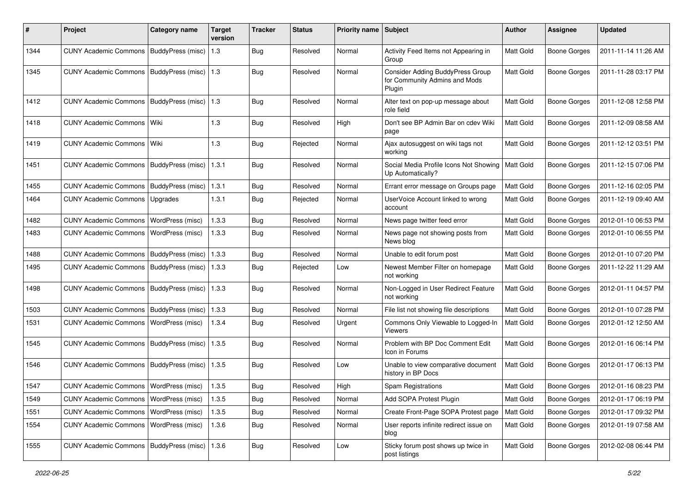| #    | Project                                           | Category name             | <b>Target</b><br>version | <b>Tracker</b> | <b>Status</b> | Priority name Subject |                                                                                    | Author           | <b>Assignee</b>     | <b>Updated</b>      |
|------|---------------------------------------------------|---------------------------|--------------------------|----------------|---------------|-----------------------|------------------------------------------------------------------------------------|------------------|---------------------|---------------------|
| 1344 | <b>CUNY Academic Commons</b>                      | BuddyPress (misc)         | 1.3                      | Bug            | Resolved      | Normal                | Activity Feed Items not Appearing in<br>Group                                      | Matt Gold        | <b>Boone Gorges</b> | 2011-11-14 11:26 AM |
| 1345 | <b>CUNY Academic Commons</b>                      | BuddyPress (misc)   1.3   |                          | <b>Bug</b>     | Resolved      | Normal                | <b>Consider Adding BuddyPress Group</b><br>for Community Admins and Mods<br>Plugin | Matt Gold        | <b>Boone Gorges</b> | 2011-11-28 03:17 PM |
| 1412 | <b>CUNY Academic Commons</b>                      | BuddyPress (misc)   1.3   |                          | <b>Bug</b>     | Resolved      | Normal                | Alter text on pop-up message about<br>role field                                   | <b>Matt Gold</b> | Boone Gorges        | 2011-12-08 12:58 PM |
| 1418 | <b>CUNY Academic Commons</b>                      | Wiki                      | 1.3                      | Bug            | Resolved      | High                  | Don't see BP Admin Bar on cdev Wiki<br>page                                        | <b>Matt Gold</b> | <b>Boone Gorges</b> | 2011-12-09 08:58 AM |
| 1419 | <b>CUNY Academic Commons</b>                      | Wiki                      | 1.3                      | <b>Bug</b>     | Rejected      | Normal                | Ajax autosuggest on wiki tags not<br>working                                       | <b>Matt Gold</b> | Boone Gorges        | 2011-12-12 03:51 PM |
| 1451 | <b>CUNY Academic Commons</b>                      | BuddyPress (misc)         | 1.3.1                    | <b>Bug</b>     | Resolved      | Normal                | Social Media Profile Icons Not Showing<br>Up Automatically?                        | <b>Matt Gold</b> | <b>Boone Gorges</b> | 2011-12-15 07:06 PM |
| 1455 | <b>CUNY Academic Commons</b>                      | BuddyPress (misc)         | 1.3.1                    | <b>Bug</b>     | Resolved      | Normal                | Errant error message on Groups page                                                | Matt Gold        | Boone Gorges        | 2011-12-16 02:05 PM |
| 1464 | <b>CUNY Academic Commons</b>                      | Upgrades                  | 1.3.1                    | <b>Bug</b>     | Rejected      | Normal                | UserVoice Account linked to wrong<br>account                                       | Matt Gold        | Boone Gorges        | 2011-12-19 09:40 AM |
| 1482 | <b>CUNY Academic Commons</b>                      | WordPress (misc)          | 1.3.3                    | <b>Bug</b>     | Resolved      | Normal                | News page twitter feed error                                                       | <b>Matt Gold</b> | Boone Gorges        | 2012-01-10 06:53 PM |
| 1483 | <b>CUNY Academic Commons</b>                      | WordPress (misc)          | 1.3.3                    | <b>Bug</b>     | Resolved      | Normal                | News page not showing posts from<br>News blog                                      | Matt Gold        | Boone Gorges        | 2012-01-10 06:55 PM |
| 1488 | <b>CUNY Academic Commons</b>                      | BuddyPress (misc)         | 1.3.3                    | Bug            | Resolved      | Normal                | Unable to edit forum post                                                          | Matt Gold        | Boone Gorges        | 2012-01-10 07:20 PM |
| 1495 | <b>CUNY Academic Commons</b>                      | BuddyPress (misc)   1.3.3 |                          | Bug            | Rejected      | Low                   | Newest Member Filter on homepage<br>not working                                    | <b>Matt Gold</b> | Boone Gorges        | 2011-12-22 11:29 AM |
| 1498 | <b>CUNY Academic Commons</b>                      | <b>BuddyPress (misc)</b>  | 1.3.3                    | Bug            | Resolved      | Normal                | Non-Logged in User Redirect Feature<br>not working                                 | <b>Matt Gold</b> | Boone Gorges        | 2012-01-11 04:57 PM |
| 1503 | <b>CUNY Academic Commons</b>                      | BuddyPress (misc)         | 1.3.3                    | <b>Bug</b>     | Resolved      | Normal                | File list not showing file descriptions                                            | Matt Gold        | Boone Gorges        | 2012-01-10 07:28 PM |
| 1531 | <b>CUNY Academic Commons</b>                      | WordPress (misc)          | 1.3.4                    | <b>Bug</b>     | Resolved      | Urgent                | Commons Only Viewable to Logged-In<br><b>Viewers</b>                               | <b>Matt Gold</b> | Boone Gorges        | 2012-01-12 12:50 AM |
| 1545 | <b>CUNY Academic Commons</b>                      | BuddyPress (misc)   1.3.5 |                          | Bug            | Resolved      | Normal                | Problem with BP Doc Comment Edit<br>Icon in Forums                                 | <b>Matt Gold</b> | Boone Gorges        | 2012-01-16 06:14 PM |
| 1546 | <b>CUNY Academic Commons</b>                      | BuddyPress (misc)   1.3.5 |                          | Bug            | Resolved      | Low                   | Unable to view comparative document<br>history in BP Docs                          | Matt Gold        | <b>Boone Gorges</b> | 2012-01-17 06:13 PM |
| 1547 | CUNY Academic Commons   WordPress (misc)          |                           | 1.3.5                    | Bug            | Resolved      | High                  | <b>Spam Registrations</b>                                                          | Matt Gold        | Boone Gorges        | 2012-01-16 08:23 PM |
| 1549 | CUNY Academic Commons   WordPress (misc)          |                           | 1.3.5                    | Bug            | Resolved      | Normal                | Add SOPA Protest Plugin                                                            | Matt Gold        | Boone Gorges        | 2012-01-17 06:19 PM |
| 1551 | <b>CUNY Academic Commons</b>                      | WordPress (misc)          | 1.3.5                    | <b>Bug</b>     | Resolved      | Normal                | Create Front-Page SOPA Protest page                                                | Matt Gold        | Boone Gorges        | 2012-01-17 09:32 PM |
| 1554 | <b>CUNY Academic Commons</b>                      | WordPress (misc)          | 1.3.6                    | <b>Bug</b>     | Resolved      | Normal                | User reports infinite redirect issue on<br>blog                                    | Matt Gold        | Boone Gorges        | 2012-01-19 07:58 AM |
| 1555 | CUNY Academic Commons   BuddyPress (misc)   1.3.6 |                           |                          | Bug            | Resolved      | Low                   | Sticky forum post shows up twice in<br>post listings                               | Matt Gold        | Boone Gorges        | 2012-02-08 06:44 PM |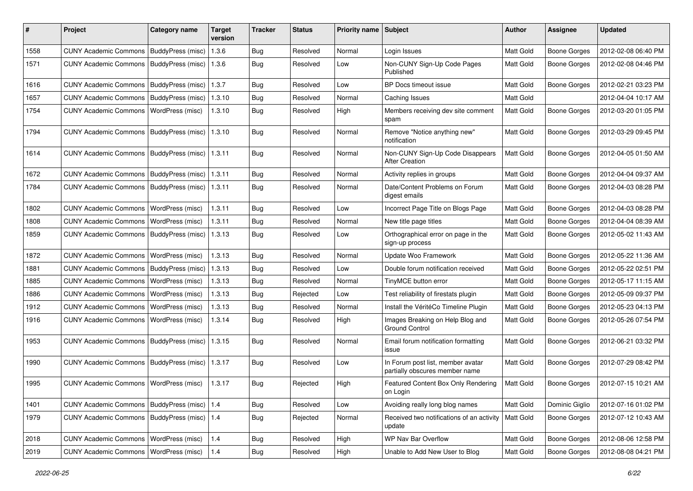| #    | Project                                         | Category name           | Target<br>version | <b>Tracker</b> | <b>Status</b> | <b>Priority name</b> | <b>Subject</b>                                                      | <b>Author</b>    | Assignee            | <b>Updated</b>      |
|------|-------------------------------------------------|-------------------------|-------------------|----------------|---------------|----------------------|---------------------------------------------------------------------|------------------|---------------------|---------------------|
| 1558 | <b>CUNY Academic Commons</b>                    | BuddyPress (misc)       | 1.3.6             | Bug            | Resolved      | Normal               | Login Issues                                                        | Matt Gold        | Boone Gorges        | 2012-02-08 06:40 PM |
| 1571 | <b>CUNY Academic Commons</b>                    | BuddyPress (misc)       | 1.3.6             | Bug            | Resolved      | Low                  | Non-CUNY Sign-Up Code Pages<br>Published                            | Matt Gold        | Boone Gorges        | 2012-02-08 04:46 PM |
| 1616 | <b>CUNY Academic Commons</b>                    | BuddyPress (misc)       | 1.3.7             | Bug            | Resolved      | Low                  | BP Docs timeout issue                                               | Matt Gold        | <b>Boone Gorges</b> | 2012-02-21 03:23 PM |
| 1657 | <b>CUNY Academic Commons</b>                    | BuddyPress (misc)       | 1.3.10            | <b>Bug</b>     | Resolved      | Normal               | Caching Issues                                                      | Matt Gold        |                     | 2012-04-04 10:17 AM |
| 1754 | <b>CUNY Academic Commons</b>                    | WordPress (misc)        | 1.3.10            | Bug            | Resolved      | High                 | Members receiving dev site comment<br>spam                          | Matt Gold        | Boone Gorges        | 2012-03-20 01:05 PM |
| 1794 | <b>CUNY Academic Commons</b>                    | BuddyPress (misc)       | 1.3.10            | Bug            | Resolved      | Normal               | Remove "Notice anything new"<br>notification                        | Matt Gold        | Boone Gorges        | 2012-03-29 09:45 PM |
| 1614 | <b>CUNY Academic Commons</b>                    | BuddyPress (misc)       | 1.3.11            | Bug            | Resolved      | Normal               | Non-CUNY Sign-Up Code Disappears<br><b>After Creation</b>           | Matt Gold        | Boone Gorges        | 2012-04-05 01:50 AM |
| 1672 | <b>CUNY Academic Commons</b>                    | BuddyPress (misc)       | 1.3.11            | Bug            | Resolved      | Normal               | Activity replies in groups                                          | Matt Gold        | Boone Gorges        | 2012-04-04 09:37 AM |
| 1784 | <b>CUNY Academic Commons</b>                    | BuddyPress (misc)       | 1.3.11            | Bug            | Resolved      | Normal               | Date/Content Problems on Forum<br>digest emails                     | Matt Gold        | Boone Gorges        | 2012-04-03 08:28 PM |
| 1802 | <b>CUNY Academic Commons</b>                    | WordPress (misc)        | 1.3.11            | Bug            | Resolved      | Low                  | Incorrect Page Title on Blogs Page                                  | Matt Gold        | <b>Boone Gorges</b> | 2012-04-03 08:28 PM |
| 1808 | <b>CUNY Academic Commons</b>                    | WordPress (misc)        | 1.3.11            | Bug            | Resolved      | Normal               | New title page titles                                               | Matt Gold        | Boone Gorges        | 2012-04-04 08:39 AM |
| 1859 | <b>CUNY Academic Commons</b>                    | BuddyPress (misc)       | 1.3.13            | Bug            | Resolved      | Low                  | Orthographical error on page in the<br>sign-up process              | Matt Gold        | Boone Gorges        | 2012-05-02 11:43 AM |
| 1872 | <b>CUNY Academic Commons</b>                    | WordPress (misc)        | 1.3.13            | Bug            | Resolved      | Normal               | Update Woo Framework                                                | Matt Gold        | Boone Gorges        | 2012-05-22 11:36 AM |
| 1881 | <b>CUNY Academic Commons</b>                    | BuddyPress (misc)       | 1.3.13            | Bug            | Resolved      | Low                  | Double forum notification received                                  | Matt Gold        | Boone Gorges        | 2012-05-22 02:51 PM |
| 1885 | <b>CUNY Academic Commons</b>                    | WordPress (misc)        | 1.3.13            | Bug            | Resolved      | Normal               | TinyMCE button error                                                | Matt Gold        | Boone Gorges        | 2012-05-17 11:15 AM |
| 1886 | <b>CUNY Academic Commons</b>                    | WordPress (misc)        | 1.3.13            | <b>Bug</b>     | Rejected      | Low                  | Test reliability of firestats plugin                                | Matt Gold        | Boone Gorges        | 2012-05-09 09:37 PM |
| 1912 | <b>CUNY Academic Commons</b>                    | WordPress (misc)        | 1.3.13            | Bug            | Resolved      | Normal               | Install the VéritéCo Timeline Plugin                                | Matt Gold        | <b>Boone Gorges</b> | 2012-05-23 04:13 PM |
| 1916 | <b>CUNY Academic Commons</b>                    | WordPress (misc)        | 1.3.14            | Bug            | Resolved      | High                 | Images Breaking on Help Blog and<br><b>Ground Control</b>           | <b>Matt Gold</b> | Boone Gorges        | 2012-05-26 07:54 PM |
| 1953 | <b>CUNY Academic Commons</b>                    | BuddyPress (misc)       | 1.3.15            | <b>Bug</b>     | Resolved      | Normal               | Email forum notification formatting<br>issue                        | Matt Gold        | Boone Gorges        | 2012-06-21 03:32 PM |
| 1990 | CUNY Academic Commons   BuddyPress (misc)       |                         | 1.3.17            | <b>Bug</b>     | Resolved      | Low                  | In Forum post list, member avatar<br>partially obscures member name | <b>Matt Gold</b> | <b>Boone Gorges</b> | 2012-07-29 08:42 PM |
| 1995 | CUNY Academic Commons   WordPress (misc)        |                         | 1.3.17            | Bug            | Rejected      | High                 | Featured Content Box Only Rendering<br>on Login                     | Matt Gold        | <b>Boone Gorges</b> | 2012-07-15 10:21 AM |
| 1401 | <b>CUNY Academic Commons</b>                    | BuddyPress (misc)   1.4 |                   | Bug            | Resolved      | Low                  | Avoiding really long blog names                                     | Matt Gold        | Dominic Giglio      | 2012-07-16 01:02 PM |
| 1979 | CUNY Academic Commons   BuddyPress (misc)   1.4 |                         |                   | Bug            | Rejected      | Normal               | Received two notifications of an activity<br>update                 | Matt Gold        | Boone Gorges        | 2012-07-12 10:43 AM |
| 2018 | CUNY Academic Commons                           | <b>WordPress (misc)</b> | 1.4               | <b>Bug</b>     | Resolved      | High                 | WP Nav Bar Overflow                                                 | Matt Gold        | Boone Gorges        | 2012-08-06 12:58 PM |
| 2019 | <b>CUNY Academic Commons</b>                    | <b>WordPress (misc)</b> | 1.4               | <b>Bug</b>     | Resolved      | High                 | Unable to Add New User to Blog                                      | Matt Gold        | Boone Gorges        | 2012-08-08 04:21 PM |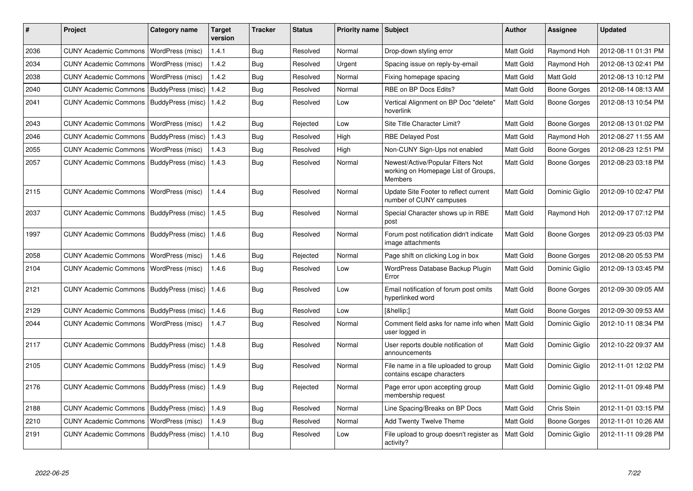| #    | Project                                   | Category name     | <b>Target</b><br>version | <b>Tracker</b> | <b>Status</b> | <b>Priority name</b> | <b>Subject</b>                                                                      | Author           | Assignee       | <b>Updated</b>      |
|------|-------------------------------------------|-------------------|--------------------------|----------------|---------------|----------------------|-------------------------------------------------------------------------------------|------------------|----------------|---------------------|
| 2036 | <b>CUNY Academic Commons</b>              | WordPress (misc)  | 1.4.1                    | Bug            | Resolved      | Normal               | Drop-down styling error                                                             | Matt Gold        | Raymond Hoh    | 2012-08-11 01:31 PM |
| 2034 | <b>CUNY Academic Commons</b>              | WordPress (misc)  | 1.4.2                    | Bug            | Resolved      | Urgent               | Spacing issue on reply-by-email                                                     | Matt Gold        | Raymond Hoh    | 2012-08-13 02:41 PM |
| 2038 | <b>CUNY Academic Commons</b>              | WordPress (misc)  | 1.4.2                    | Bug            | Resolved      | Normal               | Fixing homepage spacing                                                             | <b>Matt Gold</b> | Matt Gold      | 2012-08-13 10:12 PM |
| 2040 | <b>CUNY Academic Commons</b>              | BuddyPress (misc) | 1.4.2                    | <b>Bug</b>     | Resolved      | Normal               | RBE on BP Docs Edits?                                                               | Matt Gold        | Boone Gorges   | 2012-08-14 08:13 AM |
| 2041 | <b>CUNY Academic Commons</b>              | BuddyPress (misc) | 1.4.2                    | <b>Bug</b>     | Resolved      | Low                  | Vertical Alignment on BP Doc "delete"<br>hoverlink                                  | Matt Gold        | Boone Gorges   | 2012-08-13 10:54 PM |
| 2043 | <b>CUNY Academic Commons</b>              | WordPress (misc)  | 1.4.2                    | Bug            | Rejected      | Low                  | Site Title Character Limit?                                                         | <b>Matt Gold</b> | Boone Gorges   | 2012-08-13 01:02 PM |
| 2046 | <b>CUNY Academic Commons</b>              | BuddyPress (misc) | 1.4.3                    | Bug            | Resolved      | High                 | <b>RBE Delayed Post</b>                                                             | Matt Gold        | Raymond Hoh    | 2012-08-27 11:55 AM |
| 2055 | <b>CUNY Academic Commons</b>              | WordPress (misc)  | 1.4.3                    | Bug            | Resolved      | High                 | Non-CUNY Sign-Ups not enabled                                                       | Matt Gold        | Boone Gorges   | 2012-08-23 12:51 PM |
| 2057 | CUNY Academic Commons   BuddyPress (misc) |                   | 1.4.3                    | Bug            | Resolved      | Normal               | Newest/Active/Popular Filters Not<br>working on Homepage List of Groups,<br>Members | Matt Gold        | Boone Gorges   | 2012-08-23 03:18 PM |
| 2115 | <b>CUNY Academic Commons</b>              | WordPress (misc)  | 1.4.4                    | <b>Bug</b>     | Resolved      | Normal               | Update Site Footer to reflect current<br>number of CUNY campuses                    | <b>Matt Gold</b> | Dominic Giglio | 2012-09-10 02:47 PM |
| 2037 | CUNY Academic Commons   BuddyPress (misc) |                   | 1.4.5                    | Bug            | Resolved      | Normal               | Special Character shows up in RBE<br>post                                           | Matt Gold        | Raymond Hoh    | 2012-09-17 07:12 PM |
| 1997 | <b>CUNY Academic Commons</b>              | BuddyPress (misc) | 1.4.6                    | <b>Bug</b>     | Resolved      | Normal               | Forum post notification didn't indicate<br>image attachments                        | Matt Gold        | Boone Gorges   | 2012-09-23 05:03 PM |
| 2058 | <b>CUNY Academic Commons</b>              | WordPress (misc)  | 1.4.6                    | Bug            | Rejected      | Normal               | Page shift on clicking Log in box                                                   | Matt Gold        | Boone Gorges   | 2012-08-20 05:53 PM |
| 2104 | <b>CUNY Academic Commons</b>              | WordPress (misc)  | 1.4.6                    | <b>Bug</b>     | Resolved      | Low                  | WordPress Database Backup Plugin<br>Error                                           | Matt Gold        | Dominic Giglio | 2012-09-13 03:45 PM |
| 2121 | <b>CUNY Academic Commons</b>              | BuddyPress (misc) | 1.4.6                    | Bug            | Resolved      | Low                  | Email notification of forum post omits<br>hyperlinked word                          | Matt Gold        | Boone Gorges   | 2012-09-30 09:05 AM |
| 2129 | CUNY Academic Commons   BuddyPress (misc) |                   | 1.4.6                    | Bug            | Resolved      | Low                  | […]                                                                                 | Matt Gold        | Boone Gorges   | 2012-09-30 09:53 AM |
| 2044 | <b>CUNY Academic Commons</b>              | WordPress (misc)  | 1.4.7                    | <b>Bug</b>     | Resolved      | Normal               | Comment field asks for name info when<br>user logged in                             | Matt Gold        | Dominic Giglio | 2012-10-11 08:34 PM |
| 2117 | CUNY Academic Commons   BuddyPress (misc) |                   | 1.4.8                    | <b>Bug</b>     | Resolved      | Normal               | User reports double notification of<br>announcements                                | Matt Gold        | Dominic Giglio | 2012-10-22 09:37 AM |
| 2105 | <b>CUNY Academic Commons</b>              | BuddyPress (misc) | 1.4.9                    | <b>Bug</b>     | Resolved      | Normal               | File name in a file uploaded to group<br>contains escape characters                 | Matt Gold        | Dominic Giglio | 2012-11-01 12:02 PM |
| 2176 | <b>CUNY Academic Commons</b>              | BuddyPress (misc) | 1.4.9                    | Bug            | Rejected      | Normal               | Page error upon accepting group<br>membership request                               | Matt Gold        | Dominic Giglio | 2012-11-01 09:48 PM |
| 2188 | <b>CUNY Academic Commons</b>              | BuddyPress (misc) | 1.4.9                    | <b>Bug</b>     | Resolved      | Normal               | Line Spacing/Breaks on BP Docs                                                      | Matt Gold        | Chris Stein    | 2012-11-01 03:15 PM |
| 2210 | <b>CUNY Academic Commons</b>              | WordPress (misc)  | 1.4.9                    | Bug            | Resolved      | Normal               | Add Twenty Twelve Theme                                                             | Matt Gold        | Boone Gorges   | 2012-11-01 10:26 AM |
| 2191 | <b>CUNY Academic Commons</b>              | BuddyPress (misc) | 1.4.10                   | <b>Bug</b>     | Resolved      | Low                  | File upload to group doesn't register as<br>activity?                               | Matt Gold        | Dominic Giglio | 2012-11-11 09:28 PM |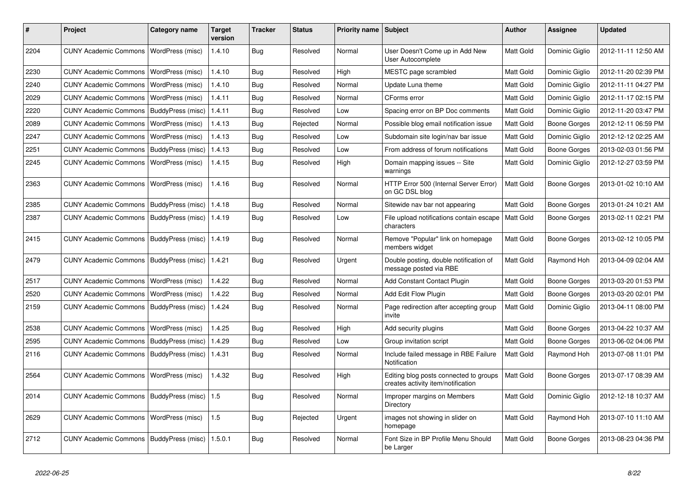| #    | Project                      | Category name            | <b>Target</b><br>version | <b>Tracker</b> | <b>Status</b> | <b>Priority name</b> | Subject                                                                      | <b>Author</b>    | <b>Assignee</b>     | <b>Updated</b>      |
|------|------------------------------|--------------------------|--------------------------|----------------|---------------|----------------------|------------------------------------------------------------------------------|------------------|---------------------|---------------------|
| 2204 | <b>CUNY Academic Commons</b> | WordPress (misc)         | 1.4.10                   | Bug            | Resolved      | Normal               | User Doesn't Come up in Add New<br>User Autocomplete                         | <b>Matt Gold</b> | Dominic Giglio      | 2012-11-11 12:50 AM |
| 2230 | <b>CUNY Academic Commons</b> | WordPress (misc)         | 1.4.10                   | <b>Bug</b>     | Resolved      | High                 | MESTC page scrambled                                                         | <b>Matt Gold</b> | Dominic Giglio      | 2012-11-20 02:39 PM |
| 2240 | <b>CUNY Academic Commons</b> | WordPress (misc)         | 1.4.10                   | Bug            | Resolved      | Normal               | Update Luna theme                                                            | Matt Gold        | Dominic Giglio      | 2012-11-11 04:27 PM |
| 2029 | <b>CUNY Academic Commons</b> | WordPress (misc)         | 1.4.11                   | Bug            | Resolved      | Normal               | CForms error                                                                 | Matt Gold        | Dominic Giglio      | 2012-11-17 02:15 PM |
| 2220 | <b>CUNY Academic Commons</b> | BuddyPress (misc)        | 1.4.11                   | Bug            | Resolved      | Low                  | Spacing error on BP Doc comments                                             | Matt Gold        | Dominic Giglio      | 2012-11-20 03:47 PM |
| 2089 | <b>CUNY Academic Commons</b> | WordPress (misc)         | 1.4.13                   | Bug            | Rejected      | Normal               | Possible blog email notification issue                                       | Matt Gold        | Boone Gorges        | 2012-12-11 06:59 PM |
| 2247 | <b>CUNY Academic Commons</b> | WordPress (misc)         | 1.4.13                   | <b>Bug</b>     | Resolved      | Low                  | Subdomain site login/nav bar issue                                           | <b>Matt Gold</b> | Dominic Giglio      | 2012-12-12 02:25 AM |
| 2251 | <b>CUNY Academic Commons</b> | BuddyPress (misc)        | 1.4.13                   | Bug            | Resolved      | Low                  | From address of forum notifications                                          | <b>Matt Gold</b> | <b>Boone Gorges</b> | 2013-02-03 01:56 PM |
| 2245 | <b>CUNY Academic Commons</b> | WordPress (misc)         | 1.4.15                   | Bug            | Resolved      | High                 | Domain mapping issues -- Site<br>warnings                                    | <b>Matt Gold</b> | Dominic Giglio      | 2012-12-27 03:59 PM |
| 2363 | <b>CUNY Academic Commons</b> | WordPress (misc)         | 1.4.16                   | Bug            | Resolved      | Normal               | HTTP Error 500 (Internal Server Error)<br>on GC DSL blog                     | Matt Gold        | Boone Gorges        | 2013-01-02 10:10 AM |
| 2385 | <b>CUNY Academic Commons</b> | BuddyPress (misc)        | 1.4.18                   | Bug            | Resolved      | Normal               | Sitewide nav bar not appearing                                               | Matt Gold        | Boone Gorges        | 2013-01-24 10:21 AM |
| 2387 | <b>CUNY Academic Commons</b> | BuddyPress (misc)        | 1.4.19                   | Bug            | Resolved      | Low                  | File upload notifications contain escape<br>characters                       | Matt Gold        | Boone Gorges        | 2013-02-11 02:21 PM |
| 2415 | <b>CUNY Academic Commons</b> | BuddyPress (misc)        | 1.4.19                   | Bug            | Resolved      | Normal               | Remove "Popular" link on homepage<br>members widget                          | Matt Gold        | Boone Gorges        | 2013-02-12 10:05 PM |
| 2479 | <b>CUNY Academic Commons</b> | <b>BuddyPress (misc)</b> | 1.4.21                   | Bug            | Resolved      | Urgent               | Double posting, double notification of<br>message posted via RBE             | Matt Gold        | Raymond Hoh         | 2013-04-09 02:04 AM |
| 2517 | <b>CUNY Academic Commons</b> | WordPress (misc)         | 1.4.22                   | Bug            | Resolved      | Normal               | <b>Add Constant Contact Plugin</b>                                           | Matt Gold        | Boone Gorges        | 2013-03-20 01:53 PM |
| 2520 | <b>CUNY Academic Commons</b> | WordPress (misc)         | 1.4.22                   | <b>Bug</b>     | Resolved      | Normal               | Add Edit Flow Plugin                                                         | <b>Matt Gold</b> | Boone Gorges        | 2013-03-20 02:01 PM |
| 2159 | <b>CUNY Academic Commons</b> | BuddyPress (misc)        | 1.4.24                   | <b>Bug</b>     | Resolved      | Normal               | Page redirection after accepting group<br>invite                             | Matt Gold        | Dominic Giglio      | 2013-04-11 08:00 PM |
| 2538 | <b>CUNY Academic Commons</b> | WordPress (misc)         | 1.4.25                   | Bug            | Resolved      | High                 | Add security plugins                                                         | Matt Gold        | Boone Gorges        | 2013-04-22 10:37 AM |
| 2595 | <b>CUNY Academic Commons</b> | BuddyPress (misc)        | 1.4.29                   | Bug            | Resolved      | Low                  | Group invitation script                                                      | <b>Matt Gold</b> | Boone Gorges        | 2013-06-02 04:06 PM |
| 2116 | <b>CUNY Academic Commons</b> | BuddyPress (misc)        | 1.4.31                   | <b>Bug</b>     | Resolved      | Normal               | Include failed message in RBE Failure<br>Notification                        | Matt Gold        | Raymond Hoh         | 2013-07-08 11:01 PM |
| 2564 | <b>CUNY Academic Commons</b> | WordPress (misc)         | 1.4.32                   | Bug            | Resolved      | High                 | Editing blog posts connected to groups<br>creates activity item/notification | Matt Gold        | Boone Gorges        | 2013-07-17 08:39 AM |
| 2014 | <b>CUNY Academic Commons</b> | BuddyPress (misc)        | 1.5                      | <b>Bug</b>     | Resolved      | Normal               | Improper margins on Members<br>Directory                                     | Matt Gold        | Dominic Giglio      | 2012-12-18 10:37 AM |
| 2629 | <b>CUNY Academic Commons</b> | WordPress (misc)         | 1.5                      | Bug            | Rejected      | Urgent               | images not showing in slider on<br>homepage                                  | Matt Gold        | Raymond Hoh         | 2013-07-10 11:10 AM |
| 2712 | <b>CUNY Academic Commons</b> | BuddyPress (misc)        | 1.5.0.1                  | Bug            | Resolved      | Normal               | Font Size in BP Profile Menu Should<br>be Larger                             | Matt Gold        | Boone Gorges        | 2013-08-23 04:36 PM |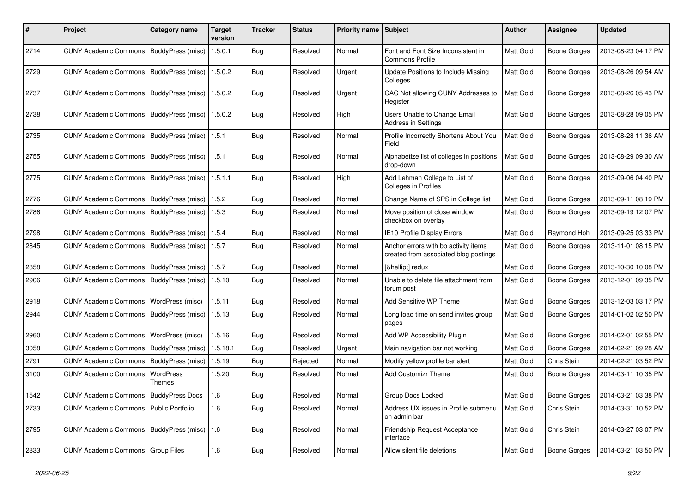| #    | Project                                         | <b>Category name</b>     | Target<br>version | <b>Tracker</b> | <b>Status</b> | Priority name Subject |                                                                               | Author           | Assignee            | <b>Updated</b>      |
|------|-------------------------------------------------|--------------------------|-------------------|----------------|---------------|-----------------------|-------------------------------------------------------------------------------|------------------|---------------------|---------------------|
| 2714 | <b>CUNY Academic Commons</b>                    | BuddyPress (misc)        | 1.5.0.1           | <b>Bug</b>     | Resolved      | Normal                | Font and Font Size Inconsistent in<br>Commons Profile                         | Matt Gold        | <b>Boone Gorges</b> | 2013-08-23 04:17 PM |
| 2729 | <b>CUNY Academic Commons</b>                    | BuddyPress (misc)        | 1.5.0.2           | Bug            | Resolved      | Urgent                | <b>Update Positions to Include Missing</b><br>Colleges                        | <b>Matt Gold</b> | <b>Boone Gorges</b> | 2013-08-26 09:54 AM |
| 2737 | <b>CUNY Academic Commons</b>                    | BuddyPress (misc)        | 1.5.0.2           | <b>Bug</b>     | Resolved      | Urgent                | CAC Not allowing CUNY Addresses to<br>Register                                | Matt Gold        | <b>Boone Gorges</b> | 2013-08-26 05:43 PM |
| 2738 | <b>CUNY Academic Commons</b>                    | BuddyPress (misc)        | 1.5.0.2           | Bug            | Resolved      | High                  | Users Unable to Change Email<br><b>Address in Settings</b>                    | <b>Matt Gold</b> | <b>Boone Gorges</b> | 2013-08-28 09:05 PM |
| 2735 | <b>CUNY Academic Commons</b>                    | <b>BuddyPress (misc)</b> | 1.5.1             | <b>Bug</b>     | Resolved      | Normal                | Profile Incorrectly Shortens About You<br>Field                               | <b>Matt Gold</b> | <b>Boone Gorges</b> | 2013-08-28 11:36 AM |
| 2755 | <b>CUNY Academic Commons</b>                    | BuddyPress (misc)        | 1.5.1             | Bug            | Resolved      | Normal                | Alphabetize list of colleges in positions<br>drop-down                        | Matt Gold        | <b>Boone Gorges</b> | 2013-08-29 09:30 AM |
| 2775 | <b>CUNY Academic Commons</b>                    | BuddyPress (misc)        | 1.5.1.1           | <b>Bug</b>     | Resolved      | High                  | Add Lehman College to List of<br><b>Colleges in Profiles</b>                  | <b>Matt Gold</b> | <b>Boone Gorges</b> | 2013-09-06 04:40 PM |
| 2776 | <b>CUNY Academic Commons</b>                    | BuddyPress (misc)        | 1.5.2             | Bug            | Resolved      | Normal                | Change Name of SPS in College list                                            | Matt Gold        | <b>Boone Gorges</b> | 2013-09-11 08:19 PM |
| 2786 | <b>CUNY Academic Commons</b>                    | BuddyPress (misc)        | 1.5.3             | <b>Bug</b>     | Resolved      | Normal                | Move position of close window<br>checkbox on overlay                          | <b>Matt Gold</b> | <b>Boone Gorges</b> | 2013-09-19 12:07 PM |
| 2798 | <b>CUNY Academic Commons</b>                    | BuddyPress (misc)        | 1.5.4             | Bug            | Resolved      | Normal                | IE10 Profile Display Errors                                                   | <b>Matt Gold</b> | Raymond Hoh         | 2013-09-25 03:33 PM |
| 2845 | <b>CUNY Academic Commons</b>                    | BuddyPress (misc)        | 1.5.7             | Bug            | Resolved      | Normal                | Anchor errors with bp activity items<br>created from associated blog postings | Matt Gold        | <b>Boone Gorges</b> | 2013-11-01 08:15 PM |
| 2858 | <b>CUNY Academic Commons</b>                    | BuddyPress (misc)        | 1.5.7             | Bug            | Resolved      | Normal                | […] redux                                                                     | <b>Matt Gold</b> | <b>Boone Gorges</b> | 2013-10-30 10:08 PM |
| 2906 | <b>CUNY Academic Commons</b>                    | BuddyPress (misc)        | 1.5.10            | <b>Bug</b>     | Resolved      | Normal                | Unable to delete file attachment from<br>forum post                           | <b>Matt Gold</b> | Boone Gorges        | 2013-12-01 09:35 PM |
| 2918 | <b>CUNY Academic Commons</b>                    | WordPress (misc)         | 1.5.11            | Bug            | Resolved      | Normal                | Add Sensitive WP Theme                                                        | Matt Gold        | Boone Gorges        | 2013-12-03 03:17 PM |
| 2944 | <b>CUNY Academic Commons</b>                    | BuddyPress (misc)        | 1.5.13            | Bug            | Resolved      | Normal                | Long load time on send invites group<br>pages                                 | <b>Matt Gold</b> | Boone Gorges        | 2014-01-02 02:50 PM |
| 2960 | <b>CUNY Academic Commons</b>                    | WordPress (misc)         | 1.5.16            | Bug            | Resolved      | Normal                | Add WP Accessibility Plugin                                                   | Matt Gold        | <b>Boone Gorges</b> | 2014-02-01 02:55 PM |
| 3058 | <b>CUNY Academic Commons</b>                    | BuddyPress (misc)        | 1.5.18.1          | Bug            | Resolved      | Urgent                | Main navigation bar not working                                               | <b>Matt Gold</b> | Boone Gorges        | 2014-02-21 09:28 AM |
| 2791 | <b>CUNY Academic Commons</b>                    | BuddyPress (misc)        | 1.5.19            | <b>Bug</b>     | Rejected      | Normal                | Modify yellow profile bar alert                                               | <b>Matt Gold</b> | Chris Stein         | 2014-02-21 03:52 PM |
| 3100 | <b>CUNY Academic Commons</b>                    | WordPress<br>Themes      | 1.5.20            | Bug            | Resolved      | Normal                | <b>Add Customizr Theme</b>                                                    | <b>Matt Gold</b> | Boone Gorges        | 2014-03-11 10:35 PM |
| 1542 | CUNY Academic Commons   BuddyPress Docs         |                          | 1.6               | <b>Bug</b>     | Resolved      | Normal                | Group Docs Locked                                                             | Matt Gold        | <b>Boone Gorges</b> | 2014-03-21 03:38 PM |
| 2733 | CUNY Academic Commons   Public Portfolio        |                          | 1.6               | <b>Bug</b>     | Resolved      | Normal                | Address UX issues in Profile submenu<br>on admin bar                          | Matt Gold        | Chris Stein         | 2014-03-31 10:52 PM |
| 2795 | CUNY Academic Commons   BuddyPress (misc)   1.6 |                          |                   | <b>Bug</b>     | Resolved      | Normal                | Friendship Request Acceptance<br>interface                                    | Matt Gold        | Chris Stein         | 2014-03-27 03:07 PM |
| 2833 | CUNY Academic Commons   Group Files             |                          | 1.6               | <b>Bug</b>     | Resolved      | Normal                | Allow silent file deletions                                                   | Matt Gold        | <b>Boone Gorges</b> | 2014-03-21 03:50 PM |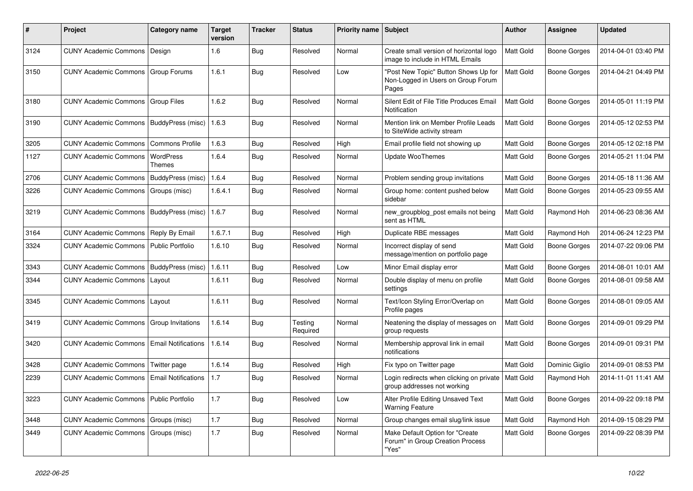| #    | Project                                   | Category name              | Target<br>version | <b>Tracker</b> | <b>Status</b>       | Priority name Subject |                                                                                     | Author           | Assignee            | <b>Updated</b>      |
|------|-------------------------------------------|----------------------------|-------------------|----------------|---------------------|-----------------------|-------------------------------------------------------------------------------------|------------------|---------------------|---------------------|
| 3124 | <b>CUNY Academic Commons</b>              | Design                     | 1.6               | <b>Bug</b>     | Resolved            | Normal                | Create small version of horizontal logo<br>image to include in HTML Emails          | Matt Gold        | Boone Gorges        | 2014-04-01 03:40 PM |
| 3150 | CUNY Academic Commons   Group Forums      |                            | 1.6.1             | Bug            | Resolved            | Low                   | "Post New Topic" Button Shows Up for<br>Non-Logged in Users on Group Forum<br>Pages | Matt Gold        | Boone Gorges        | 2014-04-21 04:49 PM |
| 3180 | <b>CUNY Academic Commons</b>              | Group Files                | 1.6.2             | <b>Bug</b>     | Resolved            | Normal                | Silent Edit of File Title Produces Email<br>Notification                            | <b>Matt Gold</b> | Boone Gorges        | 2014-05-01 11:19 PM |
| 3190 | <b>CUNY Academic Commons</b>              | <b>BuddyPress (misc)</b>   | 1.6.3             | <b>Bug</b>     | Resolved            | Normal                | Mention link on Member Profile Leads<br>to SiteWide activity stream                 | <b>Matt Gold</b> | Boone Gorges        | 2014-05-12 02:53 PM |
| 3205 | <b>CUNY Academic Commons</b>              | <b>Commons Profile</b>     | 1.6.3             | Bug            | Resolved            | High                  | Email profile field not showing up                                                  | Matt Gold        | Boone Gorges        | 2014-05-12 02:18 PM |
| 1127 | <b>CUNY Academic Commons</b>              | WordPress<br>Themes        | 1.6.4             | Bug            | Resolved            | Normal                | <b>Update WooThemes</b>                                                             | <b>Matt Gold</b> | Boone Gorges        | 2014-05-21 11:04 PM |
| 2706 | <b>CUNY Academic Commons</b>              | BuddyPress (misc)          | 1.6.4             | Bug            | Resolved            | Normal                | Problem sending group invitations                                                   | <b>Matt Gold</b> | Boone Gorges        | 2014-05-18 11:36 AM |
| 3226 | <b>CUNY Academic Commons</b>              | Groups (misc)              | 1.6.4.1           | <b>Bug</b>     | Resolved            | Normal                | Group home: content pushed below<br>sidebar                                         | <b>Matt Gold</b> | Boone Gorges        | 2014-05-23 09:55 AM |
| 3219 | <b>CUNY Academic Commons</b>              | BuddyPress (misc)          | 1.6.7             | <b>Bug</b>     | Resolved            | Normal                | new_groupblog_post emails not being<br>sent as HTML                                 | Matt Gold        | Raymond Hoh         | 2014-06-23 08:36 AM |
| 3164 | <b>CUNY Academic Commons</b>              | Reply By Email             | 1.6.7.1           | Bug            | Resolved            | High                  | Duplicate RBE messages                                                              | <b>Matt Gold</b> | Raymond Hoh         | 2014-06-24 12:23 PM |
| 3324 | <b>CUNY Academic Commons</b>              | Public Portfolio           | 1.6.10            | Bug            | Resolved            | Normal                | Incorrect display of send<br>message/mention on portfolio page                      | Matt Gold        | <b>Boone Gorges</b> | 2014-07-22 09:06 PM |
| 3343 | <b>CUNY Academic Commons</b>              | BuddyPress (misc)          | 1.6.11            | Bug            | Resolved            | Low                   | Minor Email display error                                                           | Matt Gold        | Boone Gorges        | 2014-08-01 10:01 AM |
| 3344 | CUNY Academic Commons   Layout            |                            | 1.6.11            | <b>Bug</b>     | Resolved            | Normal                | Double display of menu on profile<br>settings                                       | <b>Matt Gold</b> | Boone Gorges        | 2014-08-01 09:58 AM |
| 3345 | <b>CUNY Academic Commons</b>              | Layout                     | 1.6.11            | <b>Bug</b>     | Resolved            | Normal                | Text/Icon Styling Error/Overlap on<br>Profile pages                                 | <b>Matt Gold</b> | Boone Gorges        | 2014-08-01 09:05 AM |
| 3419 | CUNY Academic Commons   Group Invitations |                            | 1.6.14            | Bug            | Testing<br>Required | Normal                | Neatening the display of messages on<br>group requests                              | <b>Matt Gold</b> | Boone Gorges        | 2014-09-01 09:29 PM |
| 3420 | <b>CUNY Academic Commons</b>              | <b>Email Notifications</b> | 1.6.14            | Bug            | Resolved            | Normal                | Membership approval link in email<br>notifications                                  | <b>Matt Gold</b> | Boone Gorges        | 2014-09-01 09:31 PM |
| 3428 | <b>CUNY Academic Commons</b>              | Twitter page               | 1.6.14            | Bug            | Resolved            | High                  | Fix typo on Twitter page                                                            | Matt Gold        | Dominic Giglio      | 2014-09-01 08:53 PM |
| 2239 | <b>CUNY Academic Commons</b>              | <b>Email Notifications</b> | 1.7               | <b>Bug</b>     | Resolved            | Normal                | Login redirects when clicking on private<br>group addresses not working             | <b>Matt Gold</b> | Raymond Hoh         | 2014-11-01 11:41 AM |
| 3223 | CUNY Academic Commons   Public Portfolio  |                            | 1.7               | <b>Bug</b>     | Resolved            | Low                   | Alter Profile Editing Unsaved Text<br><b>Warning Feature</b>                        | Matt Gold        | Boone Gorges        | 2014-09-22 09:18 PM |
| 3448 | CUNY Academic Commons   Groups (misc)     |                            | 1.7               | Bug            | Resolved            | Normal                | Group changes email slug/link issue                                                 | Matt Gold        | Raymond Hoh         | 2014-09-15 08:29 PM |
| 3449 | CUNY Academic Commons   Groups (misc)     |                            | 1.7               | <b>Bug</b>     | Resolved            | Normal                | Make Default Option for "Create<br>Forum" in Group Creation Process<br>"Yes"        | Matt Gold        | Boone Gorges        | 2014-09-22 08:39 PM |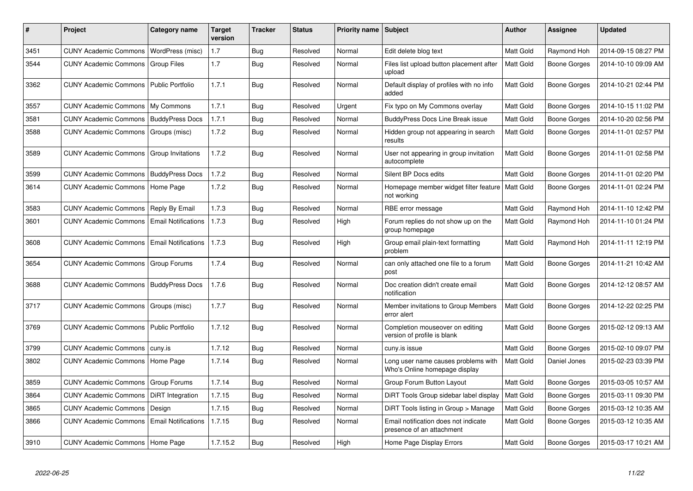| #    | <b>Project</b>                                 | Category name              | <b>Target</b><br>version | <b>Tracker</b> | <b>Status</b> | <b>Priority name</b> | <b>Subject</b>                                                       | Author           | Assignee     | <b>Updated</b>      |
|------|------------------------------------------------|----------------------------|--------------------------|----------------|---------------|----------------------|----------------------------------------------------------------------|------------------|--------------|---------------------|
| 3451 | <b>CUNY Academic Commons</b>                   | WordPress (misc)           | 1.7                      | <b>Bug</b>     | Resolved      | Normal               | Edit delete blog text                                                | <b>Matt Gold</b> | Raymond Hoh  | 2014-09-15 08:27 PM |
| 3544 | <b>CUNY Academic Commons</b>                   | <b>Group Files</b>         | 1.7                      | <b>Bug</b>     | Resolved      | Normal               | Files list upload button placement after<br>upload                   | Matt Gold        | Boone Gorges | 2014-10-10 09:09 AM |
| 3362 | <b>CUNY Academic Commons</b>                   | <b>Public Portfolio</b>    | 1.7.1                    | Bug            | Resolved      | Normal               | Default display of profiles with no info<br>added                    | <b>Matt Gold</b> | Boone Gorges | 2014-10-21 02:44 PM |
| 3557 | <b>CUNY Academic Commons</b>                   | My Commons                 | 1.7.1                    | <b>Bug</b>     | Resolved      | Urgent               | Fix typo on My Commons overlay                                       | <b>Matt Gold</b> | Boone Gorges | 2014-10-15 11:02 PM |
| 3581 | <b>CUNY Academic Commons</b>                   | <b>BuddyPress Docs</b>     | 1.7.1                    | Bug            | Resolved      | Normal               | <b>BuddyPress Docs Line Break issue</b>                              | Matt Gold        | Boone Gorges | 2014-10-20 02:56 PM |
| 3588 | <b>CUNY Academic Commons</b>                   | Groups (misc)              | 1.7.2                    | Bug            | Resolved      | Normal               | Hidden group not appearing in search<br>results                      | <b>Matt Gold</b> | Boone Gorges | 2014-11-01 02:57 PM |
| 3589 | <b>CUNY Academic Commons</b>                   | Group Invitations          | 1.7.2                    | <b>Bug</b>     | Resolved      | Normal               | User not appearing in group invitation<br>autocomplete               | <b>Matt Gold</b> | Boone Gorges | 2014-11-01 02:58 PM |
| 3599 | <b>CUNY Academic Commons   BuddyPress Docs</b> |                            | 1.7.2                    | <b>Bug</b>     | Resolved      | Normal               | Silent BP Docs edits                                                 | <b>Matt Gold</b> | Boone Gorges | 2014-11-01 02:20 PM |
| 3614 | CUNY Academic Commons   Home Page              |                            | 1.7.2                    | Bug            | Resolved      | Normal               | Homepage member widget filter feature<br>not working                 | <b>Matt Gold</b> | Boone Gorges | 2014-11-01 02:24 PM |
| 3583 | <b>CUNY Academic Commons</b>                   | Reply By Email             | 1.7.3                    | Bug            | Resolved      | Normal               | RBE error message                                                    | <b>Matt Gold</b> | Raymond Hoh  | 2014-11-10 12:42 PM |
| 3601 | <b>CUNY Academic Commons</b>                   | <b>Email Notifications</b> | 1.7.3                    | Bug            | Resolved      | High                 | Forum replies do not show up on the<br>group homepage                | <b>Matt Gold</b> | Raymond Hoh  | 2014-11-10 01:24 PM |
| 3608 | <b>CUNY Academic Commons</b>                   | <b>Email Notifications</b> | 1.7.3                    | Bug            | Resolved      | High                 | Group email plain-text formatting<br>problem                         | <b>Matt Gold</b> | Raymond Hoh  | 2014-11-11 12:19 PM |
| 3654 | <b>CUNY Academic Commons</b>                   | Group Forums               | 1.7.4                    | Bug            | Resolved      | Normal               | can only attached one file to a forum<br>post                        | <b>Matt Gold</b> | Boone Gorges | 2014-11-21 10:42 AM |
| 3688 | <b>CUNY Academic Commons</b>                   | <b>BuddyPress Docs</b>     | 1.7.6                    | Bug            | Resolved      | Normal               | Doc creation didn't create email<br>notification                     | Matt Gold        | Boone Gorges | 2014-12-12 08:57 AM |
| 3717 | <b>CUNY Academic Commons</b>                   | Groups (misc)              | 1.7.7                    | <b>Bug</b>     | Resolved      | Normal               | Member invitations to Group Members<br>error alert                   | <b>Matt Gold</b> | Boone Gorges | 2014-12-22 02:25 PM |
| 3769 | <b>CUNY Academic Commons</b>                   | <b>Public Portfolio</b>    | 1.7.12                   | <b>Bug</b>     | Resolved      | Normal               | Completion mouseover on editing<br>version of profile is blank       | <b>Matt Gold</b> | Boone Gorges | 2015-02-12 09:13 AM |
| 3799 | <b>CUNY Academic Commons</b>                   | cuny.is                    | 1.7.12                   | Bug            | Resolved      | Normal               | cuny.is issue                                                        | <b>Matt Gold</b> | Boone Gorges | 2015-02-10 09:07 PM |
| 3802 | <b>CUNY Academic Commons</b>                   | Home Page                  | 1.7.14                   | <b>Bug</b>     | Resolved      | Normal               | Long user name causes problems with<br>Who's Online homepage display | Matt Gold        | Daniel Jones | 2015-02-23 03:39 PM |
| 3859 | <b>CUNY Academic Commons</b>                   | Group Forums               | 1.7.14                   | <b>Bug</b>     | Resolved      | Normal               | Group Forum Button Layout                                            | <b>Matt Gold</b> | Boone Gorges | 2015-03-05 10:57 AM |
| 3864 | <b>CUNY Academic Commons</b>                   | DiRT Integration           | 1.7.15                   | Bug            | Resolved      | Normal               | DIRT Tools Group sidebar label display                               | <b>Matt Gold</b> | Boone Gorges | 2015-03-11 09:30 PM |
| 3865 | <b>CUNY Academic Commons</b>                   | Design                     | 1.7.15                   | <b>Bug</b>     | Resolved      | Normal               | DiRT Tools listing in Group > Manage                                 | <b>Matt Gold</b> | Boone Gorges | 2015-03-12 10:35 AM |
| 3866 | <b>CUNY Academic Commons</b>                   | <b>Email Notifications</b> | 1.7.15                   | Bug            | Resolved      | Normal               | Email notification does not indicate<br>presence of an attachment    | <b>Matt Gold</b> | Boone Gorges | 2015-03-12 10:35 AM |
| 3910 | CUNY Academic Commons   Home Page              |                            | 1.7.15.2                 | Bug            | Resolved      | High                 | Home Page Display Errors                                             | Matt Gold        | Boone Gorges | 2015-03-17 10:21 AM |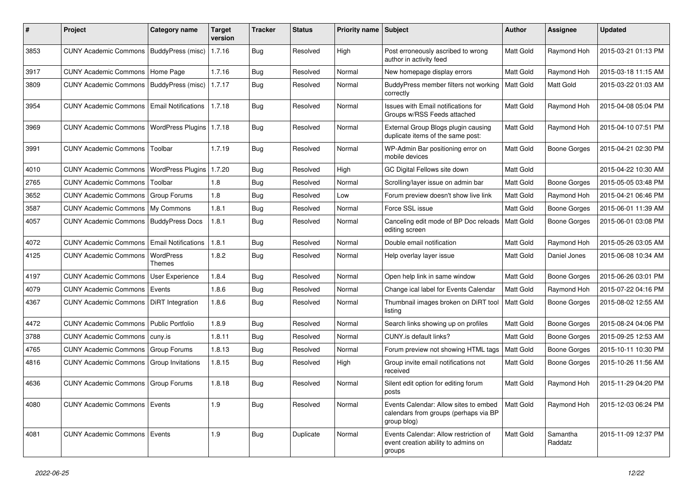| #    | Project                                   | Category name              | Target<br>version | <b>Tracker</b> | <b>Status</b> | <b>Priority name</b> | <b>Subject</b>                                                                                | Author           | <b>Assignee</b>     | <b>Updated</b>      |
|------|-------------------------------------------|----------------------------|-------------------|----------------|---------------|----------------------|-----------------------------------------------------------------------------------------------|------------------|---------------------|---------------------|
| 3853 | <b>CUNY Academic Commons</b>              | BuddyPress (misc)          | 1.7.16            | Bug            | Resolved      | High                 | Post erroneously ascribed to wrong<br>author in activity feed                                 | <b>Matt Gold</b> | Raymond Hoh         | 2015-03-21 01:13 PM |
| 3917 | CUNY Academic Commons   Home Page         |                            | 1.7.16            | Bug            | Resolved      | Normal               | New homepage display errors                                                                   | <b>Matt Gold</b> | Raymond Hoh         | 2015-03-18 11:15 AM |
| 3809 | CUNY Academic Commons   BuddyPress (misc) |                            | 1.7.17            | <b>Bug</b>     | Resolved      | Normal               | BuddyPress member filters not working<br>correctly                                            | <b>Matt Gold</b> | Matt Gold           | 2015-03-22 01:03 AM |
| 3954 | <b>CUNY Academic Commons</b>              | <b>Email Notifications</b> | 1.7.18            | <b>Bug</b>     | Resolved      | Normal               | Issues with Email notifications for<br>Groups w/RSS Feeds attached                            | Matt Gold        | Raymond Hoh         | 2015-04-08 05:04 PM |
| 3969 | <b>CUNY Academic Commons</b>              | <b>WordPress Plugins</b>   | 1.7.18            | <b>Bug</b>     | Resolved      | Normal               | External Group Blogs plugin causing<br>duplicate items of the same post:                      | <b>Matt Gold</b> | Raymond Hoh         | 2015-04-10 07:51 PM |
| 3991 | <b>CUNY Academic Commons</b>              | Toolbar                    | 1.7.19            | Bug            | Resolved      | Normal               | WP-Admin Bar positioning error on<br>mobile devices                                           | <b>Matt Gold</b> | Boone Gorges        | 2015-04-21 02:30 PM |
| 4010 | <b>CUNY Academic Commons</b>              | <b>WordPress Plugins</b>   | 1.7.20            | Bug            | Resolved      | High                 | GC Digital Fellows site down                                                                  | <b>Matt Gold</b> |                     | 2015-04-22 10:30 AM |
| 2765 | <b>CUNY Academic Commons</b>              | Toolbar                    | 1.8               | <b>Bug</b>     | Resolved      | Normal               | Scrolling/layer issue on admin bar                                                            | <b>Matt Gold</b> | Boone Gorges        | 2015-05-05 03:48 PM |
| 3652 | <b>CUNY Academic Commons</b>              | Group Forums               | 1.8               | <b>Bug</b>     | Resolved      | Low                  | Forum preview doesn't show live link                                                          | Matt Gold        | Raymond Hoh         | 2015-04-21 06:46 PM |
| 3587 | CUNY Academic Commons   My Commons        |                            | 1.8.1             | Bug            | Resolved      | Normal               | Force SSL issue                                                                               | Matt Gold        | Boone Gorges        | 2015-06-01 11:39 AM |
| 4057 | <b>CUNY Academic Commons</b>              | <b>BuddyPress Docs</b>     | 1.8.1             | <b>Bug</b>     | Resolved      | Normal               | Canceling edit mode of BP Doc reloads<br>editing screen                                       | <b>Matt Gold</b> | Boone Gorges        | 2015-06-01 03:08 PM |
| 4072 | <b>CUNY Academic Commons</b>              | <b>Email Notifications</b> | 1.8.1             | Bug            | Resolved      | Normal               | Double email notification                                                                     | <b>Matt Gold</b> | Raymond Hoh         | 2015-05-26 03:05 AM |
| 4125 | <b>CUNY Academic Commons</b>              | WordPress<br>Themes        | 1.8.2             | <b>Bug</b>     | Resolved      | Normal               | Help overlay layer issue                                                                      | <b>Matt Gold</b> | Daniel Jones        | 2015-06-08 10:34 AM |
| 4197 | <b>CUNY Academic Commons</b>              | User Experience            | 1.8.4             | Bug            | Resolved      | Normal               | Open help link in same window                                                                 | Matt Gold        | Boone Gorges        | 2015-06-26 03:01 PM |
| 4079 | CUNY Academic Commons   Events            |                            | 1.8.6             | <b>Bug</b>     | Resolved      | Normal               | Change ical label for Events Calendar                                                         | Matt Gold        | Raymond Hoh         | 2015-07-22 04:16 PM |
| 4367 | <b>CUNY Academic Commons</b>              | <b>DiRT</b> Integration    | 1.8.6             | Bug            | Resolved      | Normal               | Thumbnail images broken on DiRT tool<br>listing                                               | <b>Matt Gold</b> | Boone Gorges        | 2015-08-02 12:55 AM |
| 4472 | <b>CUNY Academic Commons</b>              | Public Portfolio           | 1.8.9             | Bug            | Resolved      | Normal               | Search links showing up on profiles                                                           | Matt Gold        | Boone Gorges        | 2015-08-24 04:06 PM |
| 3788 | <b>CUNY Academic Commons</b>              | cuny.is                    | 1.8.11            | Bug            | Resolved      | Normal               | CUNY.is default links?                                                                        | <b>Matt Gold</b> | Boone Gorges        | 2015-09-25 12:53 AM |
| 4765 | <b>CUNY Academic Commons</b>              | Group Forums               | 1.8.13            | <b>Bug</b>     | Resolved      | Normal               | Forum preview not showing HTML tags                                                           | Matt Gold        | Boone Gorges        | 2015-10-11 10:30 PM |
| 4816 | CUNY Academic Commons   Group Invitations |                            | 1.8.15            | <b>Bug</b>     | Resolved      | High                 | Group invite email notifications not<br>received                                              | <b>Matt Gold</b> | Boone Gorges        | 2015-10-26 11:56 AM |
| 4636 | CUNY Academic Commons   Group Forums      |                            | 1.8.18            | Bug            | Resolved      | Normal               | Silent edit option for editing forum<br>posts                                                 | Matt Gold        | Raymond Hoh         | 2015-11-29 04:20 PM |
| 4080 | CUNY Academic Commons   Events            |                            | 1.9               | <b>Bug</b>     | Resolved      | Normal               | Events Calendar: Allow sites to embed<br>calendars from groups (perhaps via BP<br>group blog) | Matt Gold        | Raymond Hoh         | 2015-12-03 06:24 PM |
| 4081 | CUNY Academic Commons   Events            |                            | 1.9               | <b>Bug</b>     | Duplicate     | Normal               | Events Calendar: Allow restriction of<br>event creation ability to admins on<br>groups        | Matt Gold        | Samantha<br>Raddatz | 2015-11-09 12:37 PM |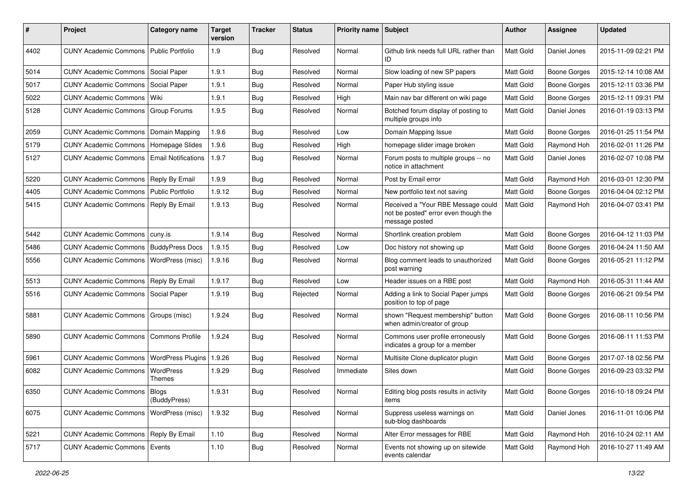| #    | Project                                       | <b>Category name</b>       | Target<br>version | <b>Tracker</b> | <b>Status</b> | <b>Priority name</b> | Subject                                                                                      | Author           | <b>Assignee</b>     | <b>Updated</b>      |
|------|-----------------------------------------------|----------------------------|-------------------|----------------|---------------|----------------------|----------------------------------------------------------------------------------------------|------------------|---------------------|---------------------|
| 4402 | <b>CUNY Academic Commons</b>                  | <b>Public Portfolio</b>    | 1.9               | <b>Bug</b>     | Resolved      | Normal               | Github link needs full URL rather than<br>ID                                                 | <b>Matt Gold</b> | Daniel Jones        | 2015-11-09 02:21 PM |
| 5014 | <b>CUNY Academic Commons</b>                  | Social Paper               | 1.9.1             | <b>Bug</b>     | Resolved      | Normal               | Slow loading of new SP papers                                                                | <b>Matt Gold</b> | Boone Gorges        | 2015-12-14 10:08 AM |
| 5017 | <b>CUNY Academic Commons</b>                  | Social Paper               | 1.9.1             | <b>Bug</b>     | Resolved      | Normal               | Paper Hub styling issue                                                                      | Matt Gold        | Boone Gorges        | 2015-12-11 03:36 PM |
| 5022 | <b>CUNY Academic Commons</b>                  | Wiki                       | 1.9.1             | Bug            | Resolved      | High                 | Main nav bar different on wiki page                                                          | <b>Matt Gold</b> | Boone Gorges        | 2015-12-11 09:31 PM |
| 5128 | <b>CUNY Academic Commons</b>                  | <b>Group Forums</b>        | 1.9.5             | Bug            | Resolved      | Normal               | Botched forum display of posting to<br>multiple groups info                                  | <b>Matt Gold</b> | Daniel Jones        | 2016-01-19 03:13 PM |
| 2059 | <b>CUNY Academic Commons</b>                  | Domain Mapping             | 1.9.6             | Bug            | Resolved      | Low                  | Domain Mapping Issue                                                                         | Matt Gold        | Boone Gorges        | 2016-01-25 11:54 PM |
| 5179 | <b>CUNY Academic Commons</b>                  | Homepage Slides            | 1.9.6             | Bug            | Resolved      | High                 | homepage slider image broken                                                                 | <b>Matt Gold</b> | Raymond Hoh         | 2016-02-01 11:26 PM |
| 5127 | <b>CUNY Academic Commons</b>                  | <b>Email Notifications</b> | 1.9.7             | Bug            | Resolved      | Normal               | Forum posts to multiple groups -- no<br>notice in attachment                                 | <b>Matt Gold</b> | Daniel Jones        | 2016-02-07 10:08 PM |
| 5220 | CUNY Academic Commons   Reply By Email        |                            | 1.9.9             | Bug            | Resolved      | Normal               | Post by Email error                                                                          | Matt Gold        | Raymond Hoh         | 2016-03-01 12:30 PM |
| 4405 | <b>CUNY Academic Commons</b>                  | <b>Public Portfolio</b>    | 1.9.12            | Bug            | Resolved      | Normal               | New portfolio text not saving                                                                | <b>Matt Gold</b> | Boone Gorges        | 2016-04-04 02:12 PM |
| 5415 | <b>CUNY Academic Commons   Reply By Email</b> |                            | 1.9.13            | Bug            | Resolved      | Normal               | Received a "Your RBE Message could<br>not be posted" error even though the<br>message posted | Matt Gold        | Raymond Hoh         | 2016-04-07 03:41 PM |
| 5442 | <b>CUNY Academic Commons</b>                  | cuny.is                    | 1.9.14            | Bug            | Resolved      | Normal               | Shortlink creation problem                                                                   | <b>Matt Gold</b> | Boone Gorges        | 2016-04-12 11:03 PM |
| 5486 | <b>CUNY Academic Commons</b>                  | <b>BuddyPress Docs</b>     | 1.9.15            | Bug            | Resolved      | Low                  | Doc history not showing up                                                                   | Matt Gold        | Boone Gorges        | 2016-04-24 11:50 AM |
| 5556 | <b>CUNY Academic Commons</b>                  | WordPress (misc)           | 1.9.16            | Bug            | Resolved      | Normal               | Blog comment leads to unauthorized<br>post warning                                           | <b>Matt Gold</b> | Boone Gorges        | 2016-05-21 11:12 PM |
| 5513 | <b>CUNY Academic Commons</b>                  | Reply By Email             | 1.9.17            | Bug            | Resolved      | Low                  | Header issues on a RBE post                                                                  | <b>Matt Gold</b> | Raymond Hoh         | 2016-05-31 11:44 AM |
| 5516 | <b>CUNY Academic Commons</b>                  | Social Paper               | 1.9.19            | <b>Bug</b>     | Rejected      | Normal               | Adding a link to Social Paper jumps<br>position to top of page                               | Matt Gold        | Boone Gorges        | 2016-06-21 09:54 PM |
| 5881 | <b>CUNY Academic Commons</b>                  | Groups (misc)              | 1.9.24            | Bug            | Resolved      | Normal               | shown "Request membership" button<br>when admin/creator of group                             | Matt Gold        | Boone Gorges        | 2016-08-11 10:56 PM |
| 5890 | <b>CUNY Academic Commons</b>                  | <b>Commons Profile</b>     | 1.9.24            | <b>Bug</b>     | Resolved      | Normal               | Commons user profile erroneously<br>indicates a group for a member                           | Matt Gold        | Boone Gorges        | 2016-08-11 11:53 PM |
| 5961 | <b>CUNY Academic Commons</b>                  | <b>WordPress Plugins</b>   | 1.9.26            | Bug            | Resolved      | Normal               | Multisite Clone duplicator plugin                                                            | <b>Matt Gold</b> | Boone Gorges        | 2017-07-18 02:56 PM |
| 6082 | <b>CUNY Academic Commons</b>                  | WordPress<br>Themes        | 1.9.29            | Bug            | Resolved      | Immediate            | Sites down                                                                                   | <b>Matt Gold</b> | <b>Boone Gorges</b> | 2016-09-23 03:32 PM |
| 6350 | CUNY Academic Commons   Blogs                 | (BuddyPress)               | 1.9.31            | I Bug          | Resolved      | Normal               | Editing blog posts results in activity<br>items                                              | Matt Gold        | Boone Gorges        | 2016-10-18 09:24 PM |
| 6075 | CUNY Academic Commons   WordPress (misc)      |                            | 1.9.32            | Bug            | Resolved      | Normal               | Suppress useless warnings on<br>sub-blog dashboards                                          | Matt Gold        | Daniel Jones        | 2016-11-01 10:06 PM |
| 5221 | CUNY Academic Commons   Reply By Email        |                            | 1.10              | Bug            | Resolved      | Normal               | Alter Error messages for RBE                                                                 | Matt Gold        | Raymond Hoh         | 2016-10-24 02:11 AM |
| 5717 | CUNY Academic Commons   Events                |                            | 1.10              | <b>Bug</b>     | Resolved      | Normal               | Events not showing up on sitewide<br>events calendar                                         | Matt Gold        | Raymond Hoh         | 2016-10-27 11:49 AM |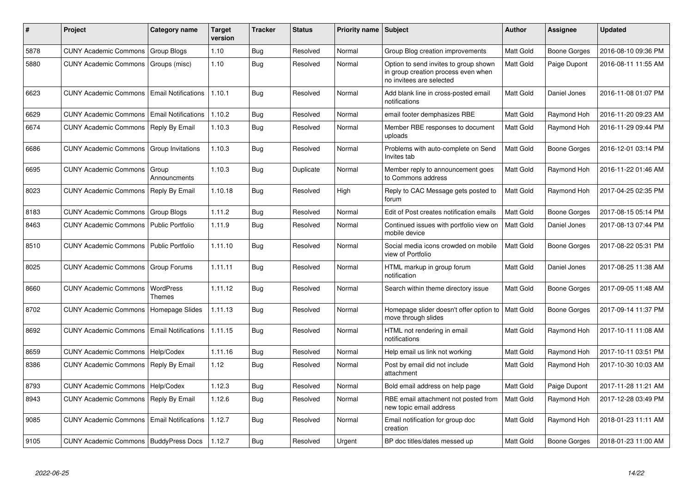| #    | Project                                 | Category name              | <b>Target</b><br>version | <b>Tracker</b> | <b>Status</b> | <b>Priority name</b> | Subject                                                                                                  | <b>Author</b> | Assignee     | <b>Updated</b>      |
|------|-----------------------------------------|----------------------------|--------------------------|----------------|---------------|----------------------|----------------------------------------------------------------------------------------------------------|---------------|--------------|---------------------|
| 5878 | <b>CUNY Academic Commons</b>            | <b>Group Blogs</b>         | 1.10                     | Bug            | Resolved      | Normal               | Group Blog creation improvements                                                                         | Matt Gold     | Boone Gorges | 2016-08-10 09:36 PM |
| 5880 | <b>CUNY Academic Commons</b>            | Groups (misc)              | 1.10                     | Bug            | Resolved      | Normal               | Option to send invites to group shown<br>in group creation process even when<br>no invitees are selected | Matt Gold     | Paige Dupont | 2016-08-11 11:55 AM |
| 6623 | <b>CUNY Academic Commons</b>            | <b>Email Notifications</b> | 1.10.1                   | Bug            | Resolved      | Normal               | Add blank line in cross-posted email<br>notifications                                                    | Matt Gold     | Daniel Jones | 2016-11-08 01:07 PM |
| 6629 | <b>CUNY Academic Commons</b>            | <b>Email Notifications</b> | 1.10.2                   | Bug            | Resolved      | Normal               | email footer demphasizes RBE                                                                             | Matt Gold     | Raymond Hoh  | 2016-11-20 09:23 AM |
| 6674 | <b>CUNY Academic Commons</b>            | Reply By Email             | 1.10.3                   | Bug            | Resolved      | Normal               | Member RBE responses to document<br>uploads                                                              | Matt Gold     | Raymond Hoh  | 2016-11-29 09:44 PM |
| 6686 | <b>CUNY Academic Commons</b>            | Group Invitations          | 1.10.3                   | Bug            | Resolved      | Normal               | Problems with auto-complete on Send<br>Invites tab                                                       | Matt Gold     | Boone Gorges | 2016-12-01 03:14 PM |
| 6695 | <b>CUNY Academic Commons</b>            | Group<br>Announcments      | 1.10.3                   | Bug            | Duplicate     | Normal               | Member reply to announcement goes<br>to Commons address                                                  | Matt Gold     | Raymond Hoh  | 2016-11-22 01:46 AM |
| 8023 | <b>CUNY Academic Commons</b>            | Reply By Email             | 1.10.18                  | <b>Bug</b>     | Resolved      | High                 | Reply to CAC Message gets posted to<br>forum                                                             | Matt Gold     | Raymond Hoh  | 2017-04-25 02:35 PM |
| 8183 | <b>CUNY Academic Commons</b>            | Group Blogs                | 1.11.2                   | Bug            | Resolved      | Normal               | Edit of Post creates notification emails                                                                 | Matt Gold     | Boone Gorges | 2017-08-15 05:14 PM |
| 8463 | <b>CUNY Academic Commons</b>            | Public Portfolio           | 1.11.9                   | Bug            | Resolved      | Normal               | Continued issues with portfolio view on<br>mobile device                                                 | Matt Gold     | Daniel Jones | 2017-08-13 07:44 PM |
| 8510 | <b>CUNY Academic Commons</b>            | <b>Public Portfolio</b>    | 1.11.10                  | <b>Bug</b>     | Resolved      | Normal               | Social media icons crowded on mobile<br>view of Portfolio                                                | Matt Gold     | Boone Gorges | 2017-08-22 05:31 PM |
| 8025 | <b>CUNY Academic Commons</b>            | <b>Group Forums</b>        | 1.11.11                  | Bug            | Resolved      | Normal               | HTML markup in group forum<br>notification                                                               | Matt Gold     | Daniel Jones | 2017-08-25 11:38 AM |
| 8660 | <b>CUNY Academic Commons</b>            | WordPress<br>Themes        | 1.11.12                  | Bug            | Resolved      | Normal               | Search within theme directory issue                                                                      | Matt Gold     | Boone Gorges | 2017-09-05 11:48 AM |
| 8702 | <b>CUNY Academic Commons</b>            | Homepage Slides            | 1.11.13                  | Bug            | Resolved      | Normal               | Homepage slider doesn't offer option to<br>move through slides                                           | Matt Gold     | Boone Gorges | 2017-09-14 11:37 PM |
| 8692 | <b>CUNY Academic Commons</b>            | <b>Email Notifications</b> | 1.11.15                  | <b>Bug</b>     | Resolved      | Normal               | HTML not rendering in email<br>notifications                                                             | Matt Gold     | Raymond Hoh  | 2017-10-11 11:08 AM |
| 8659 | <b>CUNY Academic Commons</b>            | Help/Codex                 | 1.11.16                  | Bug            | Resolved      | Normal               | Help email us link not working                                                                           | Matt Gold     | Raymond Hoh  | 2017-10-11 03:51 PM |
| 8386 | <b>CUNY Academic Commons</b>            | Reply By Email             | 1.12                     | Bug            | Resolved      | Normal               | Post by email did not include<br>attachment                                                              | Matt Gold     | Raymond Hoh  | 2017-10-30 10:03 AM |
| 8793 | <b>CUNY Academic Commons</b>            | Help/Codex                 | 1.12.3                   | <b>Bug</b>     | Resolved      | Normal               | Bold email address on help page                                                                          | Matt Gold     | Paige Dupont | 2017-11-28 11:21 AM |
| 8943 | <b>CUNY Academic Commons</b>            | Reply By Email             | 1.12.6                   | Bug            | Resolved      | Normal               | RBE email attachment not posted from<br>new topic email address                                          | Matt Gold     | Raymond Hoh  | 2017-12-28 03:49 PM |
| 9085 | <b>CUNY Academic Commons</b>            | <b>Email Notifications</b> | 1.12.7                   | Bug            | Resolved      | Normal               | Email notification for group doc<br>creation                                                             | Matt Gold     | Raymond Hoh  | 2018-01-23 11:11 AM |
| 9105 | CUNY Academic Commons   BuddyPress Docs |                            | 1.12.7                   | Bug            | Resolved      | Urgent               | BP doc titles/dates messed up                                                                            | Matt Gold     | Boone Gorges | 2018-01-23 11:00 AM |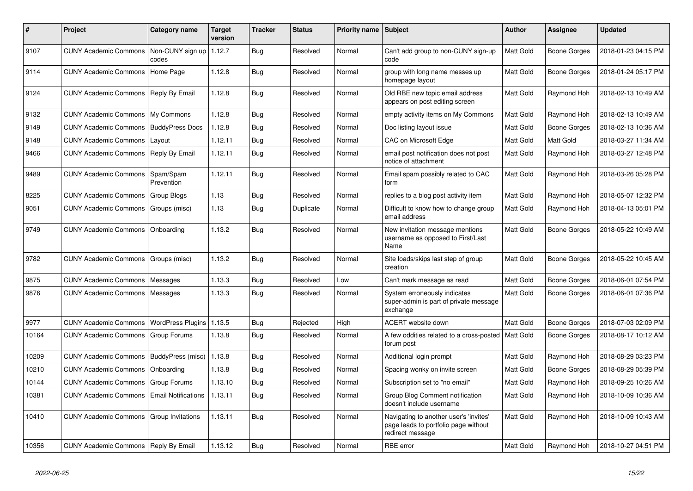| ∦     | <b>Project</b>                                   | Category name              | <b>Target</b><br>version | <b>Tracker</b> | <b>Status</b> | <b>Priority name   Subject</b> |                                                                                                    | <b>Author</b>    | <b>Assignee</b> | <b>Updated</b>      |
|-------|--------------------------------------------------|----------------------------|--------------------------|----------------|---------------|--------------------------------|----------------------------------------------------------------------------------------------------|------------------|-----------------|---------------------|
| 9107  | <b>CUNY Academic Commons</b>                     | Non-CUNY sign up<br>codes  | 1.12.7                   | <b>Bug</b>     | Resolved      | Normal                         | Can't add group to non-CUNY sign-up<br>code                                                        | <b>Matt Gold</b> | Boone Gorges    | 2018-01-23 04:15 PM |
| 9114  | <b>CUNY Academic Commons</b>                     | Home Page                  | 1.12.8                   | Bug            | Resolved      | Normal                         | group with long name messes up<br>homepage layout                                                  | <b>Matt Gold</b> | Boone Gorges    | 2018-01-24 05:17 PM |
| 9124  | <b>CUNY Academic Commons</b>                     | Reply By Email             | 1.12.8                   | <b>Bug</b>     | Resolved      | Normal                         | Old RBE new topic email address<br>appears on post editing screen                                  | <b>Matt Gold</b> | Raymond Hoh     | 2018-02-13 10:49 AM |
| 9132  | <b>CUNY Academic Commons</b>                     | My Commons                 | 1.12.8                   | Bug            | Resolved      | Normal                         | empty activity items on My Commons                                                                 | <b>Matt Gold</b> | Raymond Hoh     | 2018-02-13 10:49 AM |
| 9149  | <b>CUNY Academic Commons</b>                     | <b>BuddyPress Docs</b>     | 1.12.8                   | Bug            | Resolved      | Normal                         | Doc listing layout issue                                                                           | <b>Matt Gold</b> | Boone Gorges    | 2018-02-13 10:36 AM |
| 9148  | <b>CUNY Academic Commons</b>                     | Layout                     | 1.12.11                  | Bug            | Resolved      | Normal                         | CAC on Microsoft Edge                                                                              | <b>Matt Gold</b> | Matt Gold       | 2018-03-27 11:34 AM |
| 9466  | <b>CUNY Academic Commons</b>                     | Reply By Email             | 1.12.11                  | Bug            | Resolved      | Normal                         | email post notification does not post<br>notice of attachment                                      | Matt Gold        | Raymond Hoh     | 2018-03-27 12:48 PM |
| 9489  | <b>CUNY Academic Commons</b>                     | Spam/Spam<br>Prevention    | 1.12.11                  | Bug            | Resolved      | Normal                         | Email spam possibly related to CAC<br>form                                                         | <b>Matt Gold</b> | Raymond Hoh     | 2018-03-26 05:28 PM |
| 8225  | <b>CUNY Academic Commons</b>                     | Group Blogs                | 1.13                     | <b>Bug</b>     | Resolved      | Normal                         | replies to a blog post activity item                                                               | <b>Matt Gold</b> | Raymond Hoh     | 2018-05-07 12:32 PM |
| 9051  | <b>CUNY Academic Commons</b>                     | Groups (misc)              | 1.13                     | Bug            | Duplicate     | Normal                         | Difficult to know how to change group<br>email address                                             | Matt Gold        | Raymond Hoh     | 2018-04-13 05:01 PM |
| 9749  | <b>CUNY Academic Commons</b>                     | Onboarding                 | 1.13.2                   | Bug            | Resolved      | Normal                         | New invitation message mentions<br>username as opposed to First/Last<br>Name                       | <b>Matt Gold</b> | Boone Gorges    | 2018-05-22 10:49 AM |
| 9782  | <b>CUNY Academic Commons</b>                     | Groups (misc)              | 1.13.2                   | Bug            | Resolved      | Normal                         | Site loads/skips last step of group<br>creation                                                    | <b>Matt Gold</b> | Boone Gorges    | 2018-05-22 10:45 AM |
| 9875  | <b>CUNY Academic Commons</b>                     | Messages                   | 1.13.3                   | Bug            | Resolved      | Low                            | Can't mark message as read                                                                         | <b>Matt Gold</b> | Boone Gorges    | 2018-06-01 07:54 PM |
| 9876  | <b>CUNY Academic Commons</b>                     | Messages                   | 1.13.3                   | Bug            | Resolved      | Normal                         | System erroneously indicates<br>super-admin is part of private message<br>exchange                 | <b>Matt Gold</b> | Boone Gorges    | 2018-06-01 07:36 PM |
| 9977  | <b>CUNY Academic Commons</b>                     | <b>WordPress Plugins</b>   | 1.13.5                   | Bug            | Rejected      | High                           | <b>ACERT</b> website down                                                                          | <b>Matt Gold</b> | Boone Gorges    | 2018-07-03 02:09 PM |
| 10164 | <b>CUNY Academic Commons</b>                     | Group Forums               | 1.13.8                   | Bug            | Resolved      | Normal                         | A few oddities related to a cross-posted<br>forum post                                             | <b>Matt Gold</b> | Boone Gorges    | 2018-08-17 10:12 AM |
| 10209 | <b>CUNY Academic Commons</b>                     | BuddyPress (misc)          | 1.13.8                   | Bug            | Resolved      | Normal                         | Additional login prompt                                                                            | <b>Matt Gold</b> | Raymond Hoh     | 2018-08-29 03:23 PM |
| 10210 | <b>CUNY Academic Commons</b>                     | Onboarding                 | 1.13.8                   | Bug            | Resolved      | Normal                         | Spacing wonky on invite screen                                                                     | <b>Matt Gold</b> | Boone Gorges    | 2018-08-29 05:39 PM |
| 10144 | <b>CUNY Academic Commons</b>                     | Group Forums               | 1.13.10                  | <b>Bug</b>     | Resolved      | Normal                         | Subscription set to "no email"                                                                     | <b>Matt Gold</b> | Raymond Hoh     | 2018-09-25 10:26 AM |
| 10381 | <b>CUNY Academic Commons</b>                     | <b>Email Notifications</b> | 1.13.11                  | Bug            | Resolved      | Normal                         | Group Blog Comment notification<br>doesn't include username                                        | Matt Gold        | Raymond Hoh     | 2018-10-09 10:36 AM |
| 10410 | <b>CUNY Academic Commons   Group Invitations</b> |                            | 1.13.11                  | Bug            | Resolved      | Normal                         | Navigating to another user's 'invites'<br>page leads to portfolio page without<br>redirect message | Matt Gold        | Raymond Hoh     | 2018-10-09 10:43 AM |
| 10356 | CUNY Academic Commons   Reply By Email           |                            | 1.13.12                  | Bug            | Resolved      | Normal                         | RBE error                                                                                          | Matt Gold        | Raymond Hoh     | 2018-10-27 04:51 PM |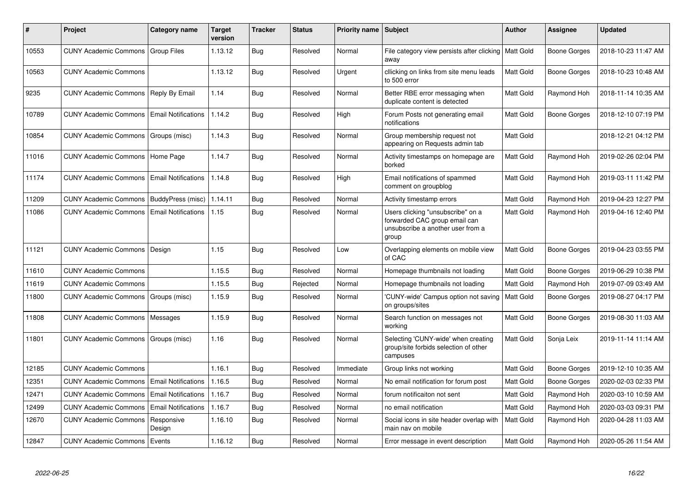| ∦     | Project                             | Category name              | <b>Target</b><br>version | <b>Tracker</b> | <b>Status</b> | <b>Priority name</b> | Subject                                                                                                          | <b>Author</b>    | Assignee     | <b>Updated</b>      |
|-------|-------------------------------------|----------------------------|--------------------------|----------------|---------------|----------------------|------------------------------------------------------------------------------------------------------------------|------------------|--------------|---------------------|
| 10553 | CUNY Academic Commons   Group Files |                            | 1.13.12                  | <b>Bug</b>     | Resolved      | Normal               | File category view persists after clicking<br>away                                                               | <b>Matt Gold</b> | Boone Gorges | 2018-10-23 11:47 AM |
| 10563 | <b>CUNY Academic Commons</b>        |                            | 1.13.12                  | Bug            | Resolved      | Urgent               | cllicking on links from site menu leads<br>to 500 error                                                          | <b>Matt Gold</b> | Boone Gorges | 2018-10-23 10:48 AM |
| 9235  | <b>CUNY Academic Commons</b>        | Reply By Email             | 1.14                     | Bug            | Resolved      | Normal               | Better RBE error messaging when<br>duplicate content is detected                                                 | <b>Matt Gold</b> | Raymond Hoh  | 2018-11-14 10:35 AM |
| 10789 | <b>CUNY Academic Commons</b>        | <b>Email Notifications</b> | 1.14.2                   | Bug            | Resolved      | High                 | Forum Posts not generating email<br>notifications                                                                | Matt Gold        | Boone Gorges | 2018-12-10 07:19 PM |
| 10854 | <b>CUNY Academic Commons</b>        | Groups (misc)              | 1.14.3                   | Bug            | Resolved      | Normal               | Group membership request not<br>appearing on Requests admin tab                                                  | Matt Gold        |              | 2018-12-21 04:12 PM |
| 11016 | CUNY Academic Commons   Home Page   |                            | 1.14.7                   | <b>Bug</b>     | Resolved      | Normal               | Activity timestamps on homepage are<br>borked                                                                    | <b>Matt Gold</b> | Raymond Hoh  | 2019-02-26 02:04 PM |
| 11174 | <b>CUNY Academic Commons</b>        | <b>Email Notifications</b> | 1.14.8                   | <b>Bug</b>     | Resolved      | High                 | Email notifications of spammed<br>comment on groupblog                                                           | <b>Matt Gold</b> | Raymond Hoh  | 2019-03-11 11:42 PM |
| 11209 | <b>CUNY Academic Commons</b>        | BuddyPress (misc)          | 1.14.11                  | Bug            | Resolved      | Normal               | Activity timestamp errors                                                                                        | Matt Gold        | Raymond Hoh  | 2019-04-23 12:27 PM |
| 11086 | <b>CUNY Academic Commons</b>        | <b>Email Notifications</b> | 1.15                     | <b>Bug</b>     | Resolved      | Normal               | Users clicking "unsubscribe" on a<br>forwarded CAC group email can<br>unsubscribe a another user from a<br>group | <b>Matt Gold</b> | Raymond Hoh  | 2019-04-16 12:40 PM |
| 11121 | <b>CUNY Academic Commons</b>        | Design                     | 1.15                     | Bug            | Resolved      | Low                  | Overlapping elements on mobile view<br>of CAC                                                                    | Matt Gold        | Boone Gorges | 2019-04-23 03:55 PM |
| 11610 | <b>CUNY Academic Commons</b>        |                            | 1.15.5                   | Bug            | Resolved      | Normal               | Homepage thumbnails not loading                                                                                  | <b>Matt Gold</b> | Boone Gorges | 2019-06-29 10:38 PM |
| 11619 | <b>CUNY Academic Commons</b>        |                            | 1.15.5                   | Bug            | Rejected      | Normal               | Homepage thumbnails not loading                                                                                  | <b>Matt Gold</b> | Raymond Hoh  | 2019-07-09 03:49 AM |
| 11800 | <b>CUNY Academic Commons</b>        | Groups (misc)              | 1.15.9                   | Bug            | Resolved      | Normal               | 'CUNY-wide' Campus option not saving<br>on groups/sites                                                          | <b>Matt Gold</b> | Boone Gorges | 2019-08-27 04:17 PM |
| 11808 | <b>CUNY Academic Commons</b>        | Messages                   | 1.15.9                   | Bug            | Resolved      | Normal               | Search function on messages not<br>working                                                                       | <b>Matt Gold</b> | Boone Gorges | 2019-08-30 11:03 AM |
| 11801 | <b>CUNY Academic Commons</b>        | Groups (misc)              | 1.16                     | <b>Bug</b>     | Resolved      | Normal               | Selecting 'CUNY-wide' when creating<br>group/site forbids selection of other<br>campuses                         | Matt Gold        | Sonja Leix   | 2019-11-14 11:14 AM |
| 12185 | <b>CUNY Academic Commons</b>        |                            | 1.16.1                   | Bug            | Resolved      | Immediate            | Group links not working                                                                                          | <b>Matt Gold</b> | Boone Gorges | 2019-12-10 10:35 AM |
| 12351 | <b>CUNY Academic Commons</b>        | <b>Email Notifications</b> | 1.16.5                   | Bug            | Resolved      | Normal               | No email notification for forum post                                                                             | Matt Gold        | Boone Gorges | 2020-02-03 02:33 PM |
| 12471 | <b>CUNY Academic Commons</b>        | <b>Email Notifications</b> | 1.16.7                   | Bug            | Resolved      | Normal               | forum notificaiton not sent                                                                                      | Matt Gold        | Raymond Hoh  | 2020-03-10 10:59 AM |
| 12499 | <b>CUNY Academic Commons</b>        | <b>Email Notifications</b> | 1.16.7                   | Bug            | Resolved      | Normal               | no email notification                                                                                            | <b>Matt Gold</b> | Raymond Hoh  | 2020-03-03 09:31 PM |
| 12670 | <b>CUNY Academic Commons</b>        | Responsive<br>Design       | 1.16.10                  | <b>Bug</b>     | Resolved      | Normal               | Social icons in site header overlap with<br>main nav on mobile                                                   | <b>Matt Gold</b> | Raymond Hoh  | 2020-04-28 11:03 AM |
| 12847 | <b>CUNY Academic Commons</b>        | Events                     | 1.16.12                  | Bug            | Resolved      | Normal               | Error message in event description                                                                               | <b>Matt Gold</b> | Raymond Hoh  | 2020-05-26 11:54 AM |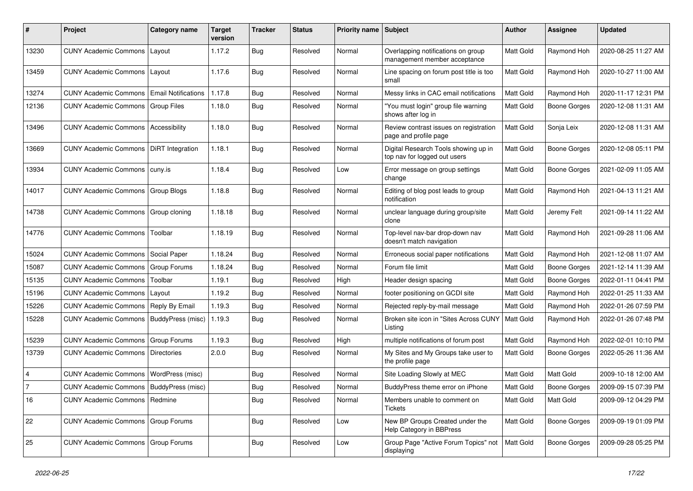| #              | Project                                   | <b>Category name</b>       | Target<br>version | <b>Tracker</b> | <b>Status</b> | Priority name Subject |                                                                      | Author           | Assignee            | <b>Updated</b>      |
|----------------|-------------------------------------------|----------------------------|-------------------|----------------|---------------|-----------------------|----------------------------------------------------------------------|------------------|---------------------|---------------------|
| 13230          | <b>CUNY Academic Commons</b>              | Layout                     | 1.17.2            | Bug            | Resolved      | Normal                | Overlapping notifications on group<br>management member acceptance   | <b>Matt Gold</b> | Raymond Hoh         | 2020-08-25 11:27 AM |
| 13459          | <b>CUNY Academic Commons</b>              | Layout                     | 1.17.6            | Bug            | Resolved      | Normal                | Line spacing on forum post title is too<br>small                     | Matt Gold        | Raymond Hoh         | 2020-10-27 11:00 AM |
| 13274          | <b>CUNY Academic Commons</b>              | <b>Email Notifications</b> | 1.17.8            | Bug            | Resolved      | Normal                | Messy links in CAC email notifications                               | Matt Gold        | Raymond Hoh         | 2020-11-17 12:31 PM |
| 12136          | <b>CUNY Academic Commons</b>              | Group Files                | 1.18.0            | Bug            | Resolved      | Normal                | "You must login" group file warning<br>shows after log in            | <b>Matt Gold</b> | Boone Gorges        | 2020-12-08 11:31 AM |
| 13496          | <b>CUNY Academic Commons</b>              | <b>Accessibility</b>       | 1.18.0            | Bug            | Resolved      | Normal                | Review contrast issues on registration<br>page and profile page      | Matt Gold        | Sonja Leix          | 2020-12-08 11:31 AM |
| 13669          | <b>CUNY Academic Commons</b>              | DiRT Integration           | 1.18.1            | Bug            | Resolved      | Normal                | Digital Research Tools showing up in<br>top nav for logged out users | Matt Gold        | <b>Boone Gorges</b> | 2020-12-08 05:11 PM |
| 13934          | CUNY Academic Commons   cuny.is           |                            | 1.18.4            | <b>Bug</b>     | Resolved      | Low                   | Error message on group settings<br>change                            | <b>Matt Gold</b> | Boone Gorges        | 2021-02-09 11:05 AM |
| 14017          | <b>CUNY Academic Commons</b>              | Group Blogs                | 1.18.8            | <b>Bug</b>     | Resolved      | Normal                | Editing of blog post leads to group<br>notification                  | <b>Matt Gold</b> | Raymond Hoh         | 2021-04-13 11:21 AM |
| 14738          | <b>CUNY Academic Commons</b>              | Group cloning              | 1.18.18           | Bug            | Resolved      | Normal                | unclear language during group/site<br>clone                          | <b>Matt Gold</b> | Jeremy Felt         | 2021-09-14 11:22 AM |
| 14776          | <b>CUNY Academic Commons</b>              | Toolbar                    | 1.18.19           | Bug            | Resolved      | Normal                | Top-level nav-bar drop-down nav<br>doesn't match navigation          | Matt Gold        | Raymond Hoh         | 2021-09-28 11:06 AM |
| 15024          | <b>CUNY Academic Commons</b>              | Social Paper               | 1.18.24           | Bug            | Resolved      | Normal                | Erroneous social paper notifications                                 | <b>Matt Gold</b> | Raymond Hoh         | 2021-12-08 11:07 AM |
| 15087          | <b>CUNY Academic Commons</b>              | Group Forums               | 1.18.24           | Bug            | Resolved      | Normal                | Forum file limit                                                     | <b>Matt Gold</b> | Boone Gorges        | 2021-12-14 11:39 AM |
| 15135          | <b>CUNY Academic Commons</b>              | Toolbar                    | 1.19.1            | Bug            | Resolved      | High                  | Header design spacing                                                | <b>Matt Gold</b> | Boone Gorges        | 2022-01-11 04:41 PM |
| 15196          | <b>CUNY Academic Commons</b>              | Layout                     | 1.19.2            | Bug            | Resolved      | Normal                | footer positioning on GCDI site                                      | Matt Gold        | Raymond Hoh         | 2022-01-25 11:33 AM |
| 15226          | <b>CUNY Academic Commons</b>              | Reply By Email             | 1.19.3            | <b>Bug</b>     | Resolved      | Normal                | Rejected reply-by-mail message                                       | <b>Matt Gold</b> | Raymond Hoh         | 2022-01-26 07:59 PM |
| 15228          | <b>CUNY Academic Commons</b>              | BuddyPress (misc)          | 1.19.3            | Bug            | Resolved      | Normal                | Broken site icon in "Sites Across CUNY<br>Listing                    | <b>Matt Gold</b> | Raymond Hoh         | 2022-01-26 07:48 PM |
| 15239          | <b>CUNY Academic Commons</b>              | Group Forums               | 1.19.3            | Bug            | Resolved      | High                  | multiple notifications of forum post                                 | Matt Gold        | Raymond Hoh         | 2022-02-01 10:10 PM |
| 13739          | <b>CUNY Academic Commons</b>              | Directories                | 2.0.0             | <b>Bug</b>     | Resolved      | Normal                | My Sites and My Groups take user to<br>the profile page              | Matt Gold        | Boone Gorges        | 2022-05-26 11:36 AM |
| $\overline{4}$ | <b>CUNY Academic Commons</b>              | WordPress (misc)           |                   | Bug            | Resolved      | Normal                | Site Loading Slowly at MEC                                           | Matt Gold        | <b>Matt Gold</b>    | 2009-10-18 12:00 AM |
| $\overline{7}$ | CUNY Academic Commons   BuddyPress (misc) |                            |                   | Bug            | Resolved      | Normal                | BuddyPress theme error on iPhone                                     | <b>Matt Gold</b> | <b>Boone Gorges</b> | 2009-09-15 07:39 PM |
| 16             | CUNY Academic Commons   Redmine           |                            |                   | <b>Bug</b>     | Resolved      | Normal                | Members unable to comment on<br>Tickets                              | Matt Gold        | Matt Gold           | 2009-09-12 04:29 PM |
| 22             | CUNY Academic Commons   Group Forums      |                            |                   | <b>Bug</b>     | Resolved      | Low                   | New BP Groups Created under the<br>Help Category in BBPress          | Matt Gold        | Boone Gorges        | 2009-09-19 01:09 PM |
| 25             | CUNY Academic Commons   Group Forums      |                            |                   | Bug            | Resolved      | Low                   | Group Page "Active Forum Topics" not<br>displaying                   | Matt Gold        | Boone Gorges        | 2009-09-28 05:25 PM |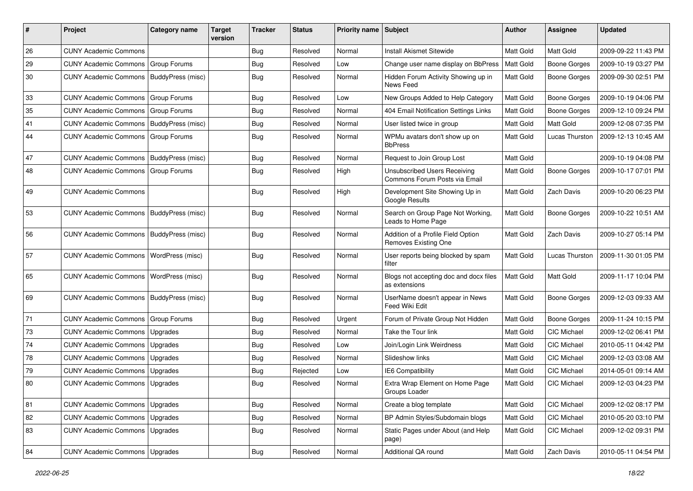| #  | Project                                   | Category name       | <b>Target</b><br>version | <b>Tracker</b> | <b>Status</b> | <b>Priority name</b> | Subject                                                       | Author           | <b>Assignee</b>     | <b>Updated</b>      |
|----|-------------------------------------------|---------------------|--------------------------|----------------|---------------|----------------------|---------------------------------------------------------------|------------------|---------------------|---------------------|
| 26 | <b>CUNY Academic Commons</b>              |                     |                          | Bug            | Resolved      | Normal               | <b>Install Akismet Sitewide</b>                               | <b>Matt Gold</b> | <b>Matt Gold</b>    | 2009-09-22 11:43 PM |
| 29 | <b>CUNY Academic Commons</b>              | Group Forums        |                          | <b>Bug</b>     | Resolved      | Low                  | Change user name display on BbPress                           | <b>Matt Gold</b> | <b>Boone Gorges</b> | 2009-10-19 03:27 PM |
| 30 | <b>CUNY Academic Commons</b>              | BuddyPress (misc)   |                          | Bug            | Resolved      | Normal               | Hidden Forum Activity Showing up in<br>News Feed              | Matt Gold        | <b>Boone Gorges</b> | 2009-09-30 02:51 PM |
| 33 | <b>CUNY Academic Commons</b>              | Group Forums        |                          | <b>Bug</b>     | Resolved      | Low                  | New Groups Added to Help Category                             | <b>Matt Gold</b> | <b>Boone Gorges</b> | 2009-10-19 04:06 PM |
| 35 | <b>CUNY Academic Commons</b>              | <b>Group Forums</b> |                          | <b>Bug</b>     | Resolved      | Normal               | 404 Email Notification Settings Links                         | Matt Gold        | <b>Boone Gorges</b> | 2009-12-10 09:24 PM |
| 41 | CUNY Academic Commons   BuddyPress (misc) |                     |                          | Bug            | Resolved      | Normal               | User listed twice in group                                    | Matt Gold        | <b>Matt Gold</b>    | 2009-12-08 07:35 PM |
| 44 | <b>CUNY Academic Commons</b>              | <b>Group Forums</b> |                          | <b>Bug</b>     | Resolved      | Normal               | WPMu avatars don't show up on<br><b>BbPress</b>               | Matt Gold        | Lucas Thurston      | 2009-12-13 10:45 AM |
| 47 | <b>CUNY Academic Commons</b>              | BuddyPress (misc)   |                          | <b>Bug</b>     | Resolved      | Normal               | Request to Join Group Lost                                    | Matt Gold        |                     | 2009-10-19 04:08 PM |
| 48 | <b>CUNY Academic Commons</b>              | <b>Group Forums</b> |                          | <b>Bug</b>     | Resolved      | High                 | Unsubscribed Users Receiving<br>Commons Forum Posts via Email | Matt Gold        | Boone Gorges        | 2009-10-17 07:01 PM |
| 49 | <b>CUNY Academic Commons</b>              |                     |                          | <b>Bug</b>     | Resolved      | High                 | Development Site Showing Up in<br>Google Results              | Matt Gold        | Zach Davis          | 2009-10-20 06:23 PM |
| 53 | CUNY Academic Commons   BuddyPress (misc) |                     |                          | Bug            | Resolved      | Normal               | Search on Group Page Not Working,<br>Leads to Home Page       | Matt Gold        | Boone Gorges        | 2009-10-22 10:51 AM |
| 56 | CUNY Academic Commons   BuddyPress (misc) |                     |                          | <b>Bug</b>     | Resolved      | Normal               | Addition of a Profile Field Option<br>Removes Existing One    | Matt Gold        | Zach Davis          | 2009-10-27 05:14 PM |
| 57 | <b>CUNY Academic Commons</b>              | WordPress (misc)    |                          | <b>Bug</b>     | Resolved      | Normal               | User reports being blocked by spam<br>filter                  | Matt Gold        | Lucas Thurston      | 2009-11-30 01:05 PM |
| 65 | <b>CUNY Academic Commons</b>              | WordPress (misc)    |                          | Bug            | Resolved      | Normal               | Blogs not accepting doc and docx files<br>as extensions       | Matt Gold        | <b>Matt Gold</b>    | 2009-11-17 10:04 PM |
| 69 | <b>CUNY Academic Commons</b>              | BuddyPress (misc)   |                          | Bug            | Resolved      | Normal               | UserName doesn't appear in News<br>Feed Wiki Edit             | Matt Gold        | Boone Gorges        | 2009-12-03 09:33 AM |
| 71 | <b>CUNY Academic Commons</b>              | Group Forums        |                          | Bug            | Resolved      | Urgent               | Forum of Private Group Not Hidden                             | Matt Gold        | Boone Gorges        | 2009-11-24 10:15 PM |
| 73 | <b>CUNY Academic Commons</b>              | Upgrades            |                          | Bug            | Resolved      | Normal               | Take the Tour link                                            | Matt Gold        | CIC Michael         | 2009-12-02 06:41 PM |
| 74 | <b>CUNY Academic Commons</b>              | Upgrades            |                          | <b>Bug</b>     | Resolved      | Low                  | Join/Login Link Weirdness                                     | Matt Gold        | CIC Michael         | 2010-05-11 04:42 PM |
| 78 | <b>CUNY Academic Commons</b>              | Upgrades            |                          | <b>Bug</b>     | Resolved      | Normal               | Slideshow links                                               | Matt Gold        | CIC Michael         | 2009-12-03 03:08 AM |
| 79 | <b>CUNY Academic Commons</b>              | Upgrades            |                          | Bug            | Rejected      | Low                  | IE6 Compatibility                                             | <b>Matt Gold</b> | <b>CIC Michael</b>  | 2014-05-01 09:14 AM |
| 80 | CUNY Academic Commons   Upgrades          |                     |                          | Bug            | Resolved      | Normal               | Extra Wrap Element on Home Page<br>Groups Loader              | Matt Gold        | CIC Michael         | 2009-12-03 04:23 PM |
| 81 | <b>CUNY Academic Commons</b>              | Upgrades            |                          | Bug            | Resolved      | Normal               | Create a blog template                                        | Matt Gold        | CIC Michael         | 2009-12-02 08:17 PM |
| 82 | <b>CUNY Academic Commons</b>              | Upgrades            |                          | <b>Bug</b>     | Resolved      | Normal               | BP Admin Styles/Subdomain blogs                               | Matt Gold        | CIC Michael         | 2010-05-20 03:10 PM |
| 83 | CUNY Academic Commons                     | Upgrades            |                          | Bug            | Resolved      | Normal               | Static Pages under About (and Help<br>page)                   | Matt Gold        | CIC Michael         | 2009-12-02 09:31 PM |
| 84 | CUNY Academic Commons   Upgrades          |                     |                          | Bug            | Resolved      | Normal               | Additional QA round                                           | Matt Gold        | Zach Davis          | 2010-05-11 04:54 PM |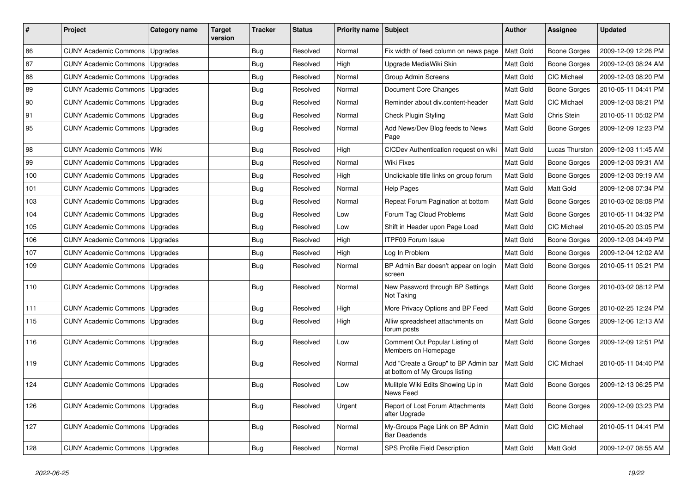| ∦   | Project                          | <b>Category name</b> | <b>Target</b><br>version | <b>Tracker</b> | <b>Status</b> | <b>Priority name</b> | Subject                                                                | <b>Author</b> | <b>Assignee</b>     | <b>Updated</b>      |
|-----|----------------------------------|----------------------|--------------------------|----------------|---------------|----------------------|------------------------------------------------------------------------|---------------|---------------------|---------------------|
| 86  | <b>CUNY Academic Commons</b>     | Upgrades             |                          | Bug            | Resolved      | Normal               | Fix width of feed column on news page                                  | Matt Gold     | Boone Gorges        | 2009-12-09 12:26 PM |
| 87  | <b>CUNY Academic Commons</b>     | Upgrades             |                          | <b>Bug</b>     | Resolved      | High                 | Upgrade MediaWiki Skin                                                 | Matt Gold     | Boone Gorges        | 2009-12-03 08:24 AM |
| 88  | <b>CUNY Academic Commons</b>     | Upgrades             |                          | <b>Bug</b>     | Resolved      | Normal               | Group Admin Screens                                                    | Matt Gold     | CIC Michael         | 2009-12-03 08:20 PM |
| 89  | <b>CUNY Academic Commons</b>     | Upgrades             |                          | <b>Bug</b>     | Resolved      | Normal               | Document Core Changes                                                  | Matt Gold     | Boone Gorges        | 2010-05-11 04:41 PM |
| 90  | <b>CUNY Academic Commons</b>     | Upgrades             |                          | Bug            | Resolved      | Normal               | Reminder about div.content-header                                      | Matt Gold     | CIC Michael         | 2009-12-03 08:21 PM |
| 91  | <b>CUNY Academic Commons</b>     | Upgrades             |                          | <b>Bug</b>     | Resolved      | Normal               | <b>Check Plugin Styling</b>                                            | Matt Gold     | Chris Stein         | 2010-05-11 05:02 PM |
| 95  | <b>CUNY Academic Commons</b>     | Upgrades             |                          | <b>Bug</b>     | Resolved      | Normal               | Add News/Dev Blog feeds to News<br>Page                                | Matt Gold     | Boone Gorges        | 2009-12-09 12:23 PM |
| 98  | <b>CUNY Academic Commons</b>     | Wiki                 |                          | <b>Bug</b>     | Resolved      | High                 | CICDev Authentication request on wiki                                  | Matt Gold     | Lucas Thurston      | 2009-12-03 11:45 AM |
| 99  | <b>CUNY Academic Commons</b>     | Upgrades             |                          | <b>Bug</b>     | Resolved      | Normal               | <b>Wiki Fixes</b>                                                      | Matt Gold     | Boone Gorges        | 2009-12-03 09:31 AM |
| 100 | <b>CUNY Academic Commons</b>     | Upgrades             |                          | <b>Bug</b>     | Resolved      | High                 | Unclickable title links on group forum                                 | Matt Gold     | Boone Gorges        | 2009-12-03 09:19 AM |
| 101 | <b>CUNY Academic Commons</b>     | Upgrades             |                          | <b>Bug</b>     | Resolved      | Normal               | Help Pages                                                             | Matt Gold     | Matt Gold           | 2009-12-08 07:34 PM |
| 103 | CUNY Academic Commons            | Upgrades             |                          | <b>Bug</b>     | Resolved      | Normal               | Repeat Forum Pagination at bottom                                      | Matt Gold     | Boone Gorges        | 2010-03-02 08:08 PM |
| 104 | <b>CUNY Academic Commons</b>     | Upgrades             |                          | <b>Bug</b>     | Resolved      | Low                  | Forum Tag Cloud Problems                                               | Matt Gold     | <b>Boone Gorges</b> | 2010-05-11 04:32 PM |
| 105 | <b>CUNY Academic Commons</b>     | Upgrades             |                          | <b>Bug</b>     | Resolved      | Low                  | Shift in Header upon Page Load                                         | Matt Gold     | CIC Michael         | 2010-05-20 03:05 PM |
| 106 | <b>CUNY Academic Commons</b>     | Upgrades             |                          | <b>Bug</b>     | Resolved      | High                 | <b>ITPF09 Forum Issue</b>                                              | Matt Gold     | Boone Gorges        | 2009-12-03 04:49 PM |
| 107 | <b>CUNY Academic Commons</b>     | Upgrades             |                          | Bug            | Resolved      | High                 | Log In Problem                                                         | Matt Gold     | Boone Gorges        | 2009-12-04 12:02 AM |
| 109 | <b>CUNY Academic Commons</b>     | Upgrades             |                          | Bug            | Resolved      | Normal               | BP Admin Bar doesn't appear on login<br>screen                         | Matt Gold     | Boone Gorges        | 2010-05-11 05:21 PM |
| 110 | <b>CUNY Academic Commons</b>     | Upgrades             |                          | <b>Bug</b>     | Resolved      | Normal               | New Password through BP Settings<br>Not Taking                         | Matt Gold     | <b>Boone Gorges</b> | 2010-03-02 08:12 PM |
| 111 | <b>CUNY Academic Commons</b>     | Upgrades             |                          | <b>Bug</b>     | Resolved      | High                 | More Privacy Options and BP Feed                                       | Matt Gold     | Boone Gorges        | 2010-02-25 12:24 PM |
| 115 | <b>CUNY Academic Commons</b>     | Upgrades             |                          | <b>Bug</b>     | Resolved      | High                 | Alliw spreadsheet attachments on<br>forum posts                        | Matt Gold     | Boone Gorges        | 2009-12-06 12:13 AM |
| 116 | <b>CUNY Academic Commons</b>     | Upgrades             |                          | <b>Bug</b>     | Resolved      | Low                  | Comment Out Popular Listing of<br>Members on Homepage                  | Matt Gold     | <b>Boone Gorges</b> | 2009-12-09 12:51 PM |
| 119 | <b>CUNY Academic Commons</b>     | Upgrades             |                          | <b>Bug</b>     | Resolved      | Normal               | Add "Create a Group" to BP Admin bar<br>at bottom of My Groups listing | Matt Gold     | CIC Michael         | 2010-05-11 04:40 PM |
| 124 | <b>CUNY Academic Commons</b>     | Upgrades             |                          | Bug            | Resolved      | Low                  | Mulitple Wiki Edits Showing Up in<br>News Feed                         | Matt Gold     | Boone Gorges        | 2009-12-13 06:25 PM |
| 126 | <b>CUNY Academic Commons</b>     | Upgrades             |                          | Bug            | Resolved      | Urgent               | Report of Lost Forum Attachments<br>after Upgrade                      | Matt Gold     | Boone Gorges        | 2009-12-09 03:23 PM |
| 127 | <b>CUNY Academic Commons</b>     | Upgrades             |                          | <b>Bug</b>     | Resolved      | Normal               | My-Groups Page Link on BP Admin<br><b>Bar Deadends</b>                 | Matt Gold     | CIC Michael         | 2010-05-11 04:41 PM |
| 128 | CUNY Academic Commons   Upgrades |                      |                          | Bug            | Resolved      | Normal               | SPS Profile Field Description                                          | Matt Gold     | Matt Gold           | 2009-12-07 08:55 AM |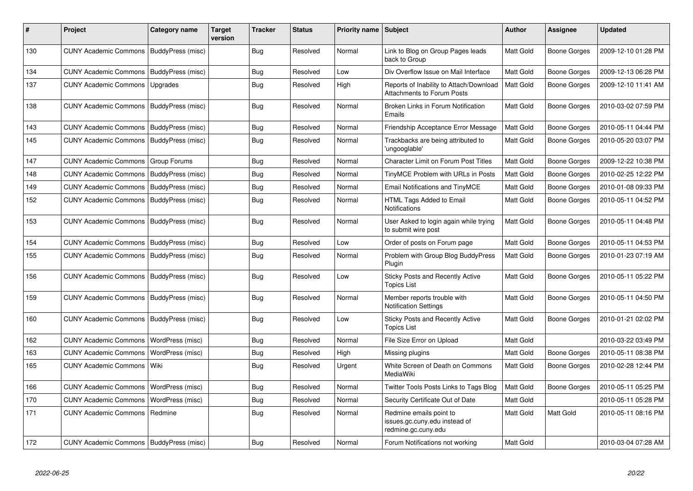| #   | Project                                   | Category name     | <b>Target</b><br>version | <b>Tracker</b> | <b>Status</b> | <b>Priority name</b> | Subject                                                                         | <b>Author</b>    | <b>Assignee</b>     | <b>Updated</b>      |
|-----|-------------------------------------------|-------------------|--------------------------|----------------|---------------|----------------------|---------------------------------------------------------------------------------|------------------|---------------------|---------------------|
| 130 | CUNY Academic Commons   BuddyPress (misc) |                   |                          | Bug            | Resolved      | Normal               | Link to Blog on Group Pages leads<br>back to Group                              | <b>Matt Gold</b> | Boone Gorges        | 2009-12-10 01:28 PM |
| 134 | CUNY Academic Commons   BuddyPress (misc) |                   |                          | Bug            | Resolved      | Low                  | Div Overflow Issue on Mail Interface                                            | <b>Matt Gold</b> | Boone Gorges        | 2009-12-13 06:28 PM |
| 137 | <b>CUNY Academic Commons</b>              | Upgrades          |                          | <b>Bug</b>     | Resolved      | High                 | Reports of Inability to Attach/Download<br><b>Attachments to Forum Posts</b>    | <b>Matt Gold</b> | Boone Gorges        | 2009-12-10 11:41 AM |
| 138 | CUNY Academic Commons   BuddyPress (misc) |                   |                          | <b>Bug</b>     | Resolved      | Normal               | Broken Links in Forum Notification<br>Emails                                    | <b>Matt Gold</b> | Boone Gorges        | 2010-03-02 07:59 PM |
| 143 | <b>CUNY Academic Commons</b>              | BuddyPress (misc) |                          | <b>Bug</b>     | Resolved      | Normal               | Friendship Acceptance Error Message                                             | <b>Matt Gold</b> | Boone Gorges        | 2010-05-11 04:44 PM |
| 145 | CUNY Academic Commons   BuddyPress (misc) |                   |                          | Bug            | Resolved      | Normal               | Trackbacks are being attributed to<br>'ungooglable'                             | Matt Gold        | Boone Gorges        | 2010-05-20 03:07 PM |
| 147 | <b>CUNY Academic Commons</b>              | Group Forums      |                          | Bug            | Resolved      | Normal               | <b>Character Limit on Forum Post Titles</b>                                     | <b>Matt Gold</b> | <b>Boone Gorges</b> | 2009-12-22 10:38 PM |
| 148 | <b>CUNY Academic Commons</b>              | BuddyPress (misc) |                          | Bug            | Resolved      | Normal               | TinyMCE Problem with URLs in Posts                                              | <b>Matt Gold</b> | Boone Gorges        | 2010-02-25 12:22 PM |
| 149 | CUNY Academic Commons   BuddyPress (misc) |                   |                          | <b>Bug</b>     | Resolved      | Normal               | <b>Email Notifications and TinyMCE</b>                                          | Matt Gold        | Boone Gorges        | 2010-01-08 09:33 PM |
| 152 | <b>CUNY Academic Commons</b>              | BuddyPress (misc) |                          | Bug            | Resolved      | Normal               | HTML Tags Added to Email<br>Notifications                                       | <b>Matt Gold</b> | Boone Gorges        | 2010-05-11 04:52 PM |
| 153 | CUNY Academic Commons   BuddyPress (misc) |                   |                          | <b>Bug</b>     | Resolved      | Normal               | User Asked to login again while trying<br>to submit wire post                   | Matt Gold        | Boone Gorges        | 2010-05-11 04:48 PM |
| 154 | <b>CUNY Academic Commons</b>              | BuddyPress (misc) |                          | <b>Bug</b>     | Resolved      | Low                  | Order of posts on Forum page                                                    | <b>Matt Gold</b> | Boone Gorges        | 2010-05-11 04:53 PM |
| 155 | CUNY Academic Commons   BuddyPress (misc) |                   |                          | Bug            | Resolved      | Normal               | Problem with Group Blog BuddyPress<br>Plugin                                    | <b>Matt Gold</b> | Boone Gorges        | 2010-01-23 07:19 AM |
| 156 | <b>CUNY Academic Commons</b>              | BuddyPress (misc) |                          | <b>Bug</b>     | Resolved      | Low                  | Sticky Posts and Recently Active<br><b>Topics List</b>                          | Matt Gold        | Boone Gorges        | 2010-05-11 05:22 PM |
| 159 | <b>CUNY Academic Commons</b>              | BuddyPress (misc) |                          | Bug            | Resolved      | Normal               | Member reports trouble with<br><b>Notification Settings</b>                     | Matt Gold        | Boone Gorges        | 2010-05-11 04:50 PM |
| 160 | <b>CUNY Academic Commons</b>              | BuddyPress (misc) |                          | Bug            | Resolved      | Low                  | Sticky Posts and Recently Active<br><b>Topics List</b>                          | <b>Matt Gold</b> | Boone Gorges        | 2010-01-21 02:02 PM |
| 162 | <b>CUNY Academic Commons</b>              | WordPress (misc)  |                          | <b>Bug</b>     | Resolved      | Normal               | File Size Error on Upload                                                       | <b>Matt Gold</b> |                     | 2010-03-22 03:49 PM |
| 163 | <b>CUNY Academic Commons</b>              | WordPress (misc)  |                          | Bug            | Resolved      | High                 | Missing plugins                                                                 | <b>Matt Gold</b> | Boone Gorges        | 2010-05-11 08:38 PM |
| 165 | <b>CUNY Academic Commons</b>              | Wiki              |                          | <b>Bug</b>     | Resolved      | Urgent               | White Screen of Death on Commons<br>MediaWiki                                   | Matt Gold        | Boone Gorges        | 2010-02-28 12:44 PM |
| 166 | <b>CUNY Academic Commons</b>              | WordPress (misc)  |                          | <b>Bug</b>     | Resolved      | Normal               | Twitter Tools Posts Links to Tags Blog                                          | Matt Gold        | Boone Gorges        | 2010-05-11 05:25 PM |
| 170 | <b>CUNY Academic Commons</b>              | WordPress (misc)  |                          | Bug            | Resolved      | Normal               | Security Certificate Out of Date                                                | Matt Gold        |                     | 2010-05-11 05:28 PM |
| 171 | <b>CUNY Academic Commons</b>              | Redmine           |                          | <b>Bug</b>     | Resolved      | Normal               | Redmine emails point to<br>issues.gc.cuny.edu instead of<br>redmine.gc.cuny.edu | <b>Matt Gold</b> | Matt Gold           | 2010-05-11 08:16 PM |
| 172 | CUNY Academic Commons   BuddyPress (misc) |                   |                          | <b>Bug</b>     | Resolved      | Normal               | Forum Notifications not working                                                 | <b>Matt Gold</b> |                     | 2010-03-04 07:28 AM |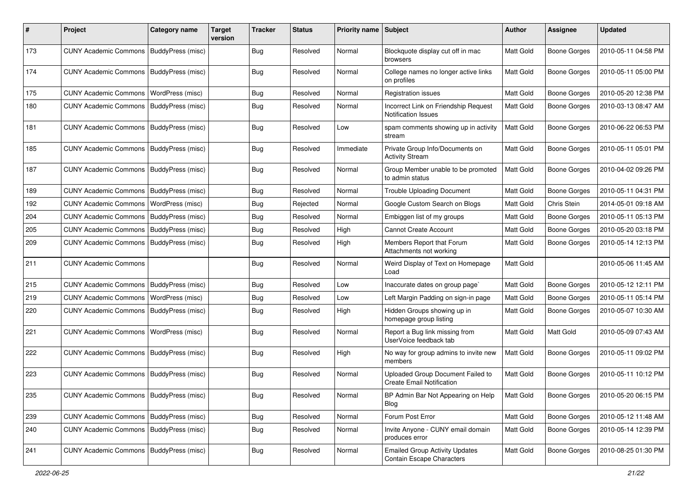| #   | Project                                   | Category name            | Target<br>version | <b>Tracker</b> | <b>Status</b> | <b>Priority name</b> | <b>Subject</b>                                                        | Author           | Assignee            | <b>Updated</b>      |
|-----|-------------------------------------------|--------------------------|-------------------|----------------|---------------|----------------------|-----------------------------------------------------------------------|------------------|---------------------|---------------------|
| 173 | <b>CUNY Academic Commons</b>              | BuddyPress (misc)        |                   | <b>Bug</b>     | Resolved      | Normal               | Blockquote display cut off in mac<br>browsers                         | <b>Matt Gold</b> | <b>Boone Gorges</b> | 2010-05-11 04:58 PM |
| 174 | <b>CUNY Academic Commons</b>              | BuddyPress (misc)        |                   | <b>Bug</b>     | Resolved      | Normal               | College names no longer active links<br>on profiles                   | Matt Gold        | <b>Boone Gorges</b> | 2010-05-11 05:00 PM |
| 175 | <b>CUNY Academic Commons</b>              | WordPress (misc)         |                   | <b>Bug</b>     | Resolved      | Normal               | <b>Registration issues</b>                                            | <b>Matt Gold</b> | Boone Gorges        | 2010-05-20 12:38 PM |
| 180 | CUNY Academic Commons   BuddyPress (misc) |                          |                   | <b>Bug</b>     | Resolved      | Normal               | Incorrect Link on Friendship Request<br><b>Notification Issues</b>    | Matt Gold        | Boone Gorges        | 2010-03-13 08:47 AM |
| 181 | <b>CUNY Academic Commons</b>              | <b>BuddyPress (misc)</b> |                   | <b>Bug</b>     | Resolved      | Low                  | spam comments showing up in activity<br>stream                        | Matt Gold        | <b>Boone Gorges</b> | 2010-06-22 06:53 PM |
| 185 | <b>CUNY Academic Commons</b>              | BuddyPress (misc)        |                   | <b>Bug</b>     | Resolved      | Immediate            | Private Group Info/Documents on<br><b>Activity Stream</b>             | Matt Gold        | Boone Gorges        | 2010-05-11 05:01 PM |
| 187 | <b>CUNY Academic Commons</b>              | BuddyPress (misc)        |                   | <b>Bug</b>     | Resolved      | Normal               | Group Member unable to be promoted<br>to admin status                 | <b>Matt Gold</b> | Boone Gorges        | 2010-04-02 09:26 PM |
| 189 | <b>CUNY Academic Commons</b>              | BuddyPress (misc)        |                   | <b>Bug</b>     | Resolved      | Normal               | <b>Trouble Uploading Document</b>                                     | Matt Gold        | Boone Gorges        | 2010-05-11 04:31 PM |
| 192 | <b>CUNY Academic Commons</b>              | WordPress (misc)         |                   | <b>Bug</b>     | Rejected      | Normal               | Google Custom Search on Blogs                                         | Matt Gold        | Chris Stein         | 2014-05-01 09:18 AM |
| 204 | <b>CUNY Academic Commons</b>              | BuddyPress (misc)        |                   | <b>Bug</b>     | Resolved      | Normal               | Embiggen list of my groups                                            | <b>Matt Gold</b> | Boone Gorges        | 2010-05-11 05:13 PM |
| 205 | <b>CUNY Academic Commons</b>              | BuddyPress (misc)        |                   | <b>Bug</b>     | Resolved      | High                 | <b>Cannot Create Account</b>                                          | <b>Matt Gold</b> | Boone Gorges        | 2010-05-20 03:18 PM |
| 209 | <b>CUNY Academic Commons</b>              | BuddyPress (misc)        |                   | <b>Bug</b>     | Resolved      | High                 | Members Report that Forum<br>Attachments not working                  | <b>Matt Gold</b> | Boone Gorges        | 2010-05-14 12:13 PM |
| 211 | <b>CUNY Academic Commons</b>              |                          |                   | <b>Bug</b>     | Resolved      | Normal               | Weird Display of Text on Homepage<br>Load                             | Matt Gold        |                     | 2010-05-06 11:45 AM |
| 215 | <b>CUNY Academic Commons</b>              | BuddyPress (misc)        |                   | <b>Bug</b>     | Resolved      | Low                  | Inaccurate dates on group page`                                       | Matt Gold        | Boone Gorges        | 2010-05-12 12:11 PM |
| 219 | <b>CUNY Academic Commons</b>              | <b>WordPress (misc)</b>  |                   | Bug            | Resolved      | Low                  | Left Margin Padding on sign-in page                                   | <b>Matt Gold</b> | Boone Gorges        | 2010-05-11 05:14 PM |
| 220 | <b>CUNY Academic Commons</b>              | BuddyPress (misc)        |                   | <b>Bug</b>     | Resolved      | High                 | Hidden Groups showing up in<br>homepage group listing                 | <b>Matt Gold</b> | Boone Gorges        | 2010-05-07 10:30 AM |
| 221 | <b>CUNY Academic Commons</b>              | <b>WordPress (misc)</b>  |                   | <b>Bug</b>     | Resolved      | Normal               | Report a Bug link missing from<br>UserVoice feedback tab              | Matt Gold        | Matt Gold           | 2010-05-09 07:43 AM |
| 222 | <b>CUNY Academic Commons</b>              | BuddyPress (misc)        |                   | <b>Bug</b>     | Resolved      | High                 | No way for group admins to invite new<br>members                      | Matt Gold        | Boone Gorges        | 2010-05-11 09:02 PM |
| 223 | <b>CUNY Academic Commons</b>              | BuddyPress (misc)        |                   | <b>Bug</b>     | Resolved      | Normal               | Uploaded Group Document Failed to<br><b>Create Email Notification</b> | Matt Gold        | Boone Gorges        | 2010-05-11 10:12 PM |
| 235 | CUNY Academic Commons   BuddyPress (misc) |                          |                   | <b>Bug</b>     | Resolved      | Normal               | BP Admin Bar Not Appearing on Help<br>Blog                            | <b>Matt Gold</b> | Boone Gorges        | 2010-05-20 06:15 PM |
| 239 | CUNY Academic Commons   BuddyPress (misc) |                          |                   | <b>Bug</b>     | Resolved      | Normal               | Forum Post Error                                                      | Matt Gold        | Boone Gorges        | 2010-05-12 11:48 AM |
| 240 | <b>CUNY Academic Commons</b>              | BuddyPress (misc)        |                   | <b>Bug</b>     | Resolved      | Normal               | Invite Anyone - CUNY email domain<br>produces error                   | Matt Gold        | Boone Gorges        | 2010-05-14 12:39 PM |
| 241 | CUNY Academic Commons   BuddyPress (misc) |                          |                   | <b>Bug</b>     | Resolved      | Normal               | <b>Emailed Group Activity Updates</b><br>Contain Escape Characters    | Matt Gold        | Boone Gorges        | 2010-08-25 01:30 PM |